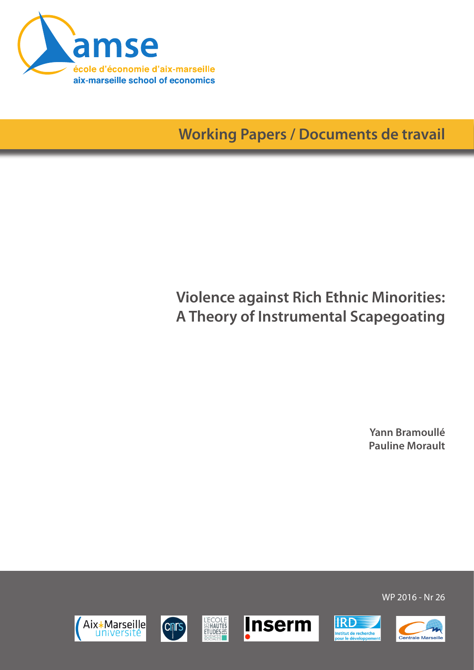

**Working Papers / Documents de travail**

# **Violence against Rich Ethnic Minorities: A Theory of Instrumental Scapegoating**

**Yann Bramoullé Pauline Morault**













WP 2016 - Nr 26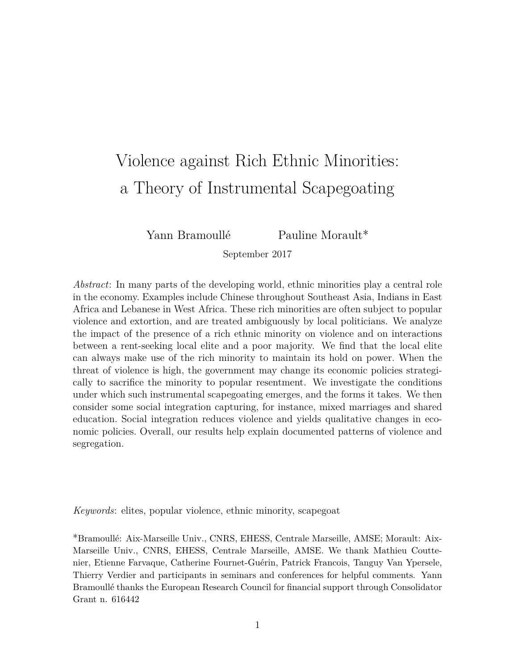# <span id="page-1-0"></span>Violence against Rich Ethnic Minorities: a Theory of Instrumental Scapegoating

Yann Bramoullé Pauline Morault\*

September 2017

*Abstract*: In many parts of the developing world, ethnic minorities play a central role in the economy. Examples include Chinese throughout Southeast Asia, Indians in East Africa and Lebanese in West Africa. These rich minorities are often subject to popular violence and extortion, and are treated ambiguously by local politicians. We analyze the impact of the presence of a rich ethnic minority on violence and on interactions between a rent-seeking local elite and a poor majority. We find that the local elite can always make use of the rich minority to maintain its hold on power. When the threat of violence is high, the government may change its economic policies strategically to sacrifice the minority to popular resentment. We investigate the conditions under which such instrumental scapegoating emerges, and the forms it takes. We then consider some social integration capturing, for instance, mixed marriages and shared education. Social integration reduces violence and yields qualitative changes in economic policies. Overall, our results help explain documented patterns of violence and segregation.

*Keywords*: elites, popular violence, ethnic minority, scapegoat

\*Bramoullé: Aix-Marseille Univ., CNRS, EHESS, Centrale Marseille, AMSE; Morault: Aix-Marseille Univ., CNRS, EHESS, Centrale Marseille, AMSE. We thank Mathieu Couttenier, Etienne Farvaque, Catherine Fournet-Guérin, Patrick Francois, Tanguy Van Ypersele, Thierry Verdier and participants in seminars and conferences for helpful comments. Yann Bramoullé thanks the European Research Council for financial support through Consolidator Grant n. 616442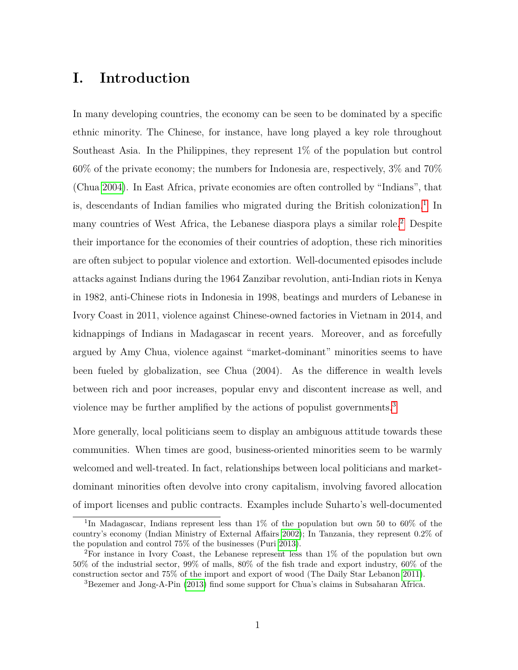# **I. Introduction**

In many developing countries, the economy can be seen to be dominated by a specific ethnic minority. The Chinese, for instance, have long played a key role throughout Southeast Asia. In the Philippines, they represent 1% of the population but control 60% of the private economy; the numbers for Indonesia are, respectively, 3% and 70% (Chua [2004\)](#page-38-0). In East Africa, private economies are often controlled by "Indians", that is, descendants of Indian families who migrated during the British colonization.<sup>[1](#page-1-0)</sup> In many countries of West Africa, the Lebanese diaspora plays a similar role.[2](#page-1-0) Despite their importance for the economies of their countries of adoption, these rich minorities are often subject to popular violence and extortion. Well-documented episodes include attacks against Indians during the 1964 Zanzibar revolution, anti-Indian riots in Kenya in 1982, anti-Chinese riots in Indonesia in 1998, beatings and murders of Lebanese in Ivory Coast in 2011, violence against Chinese-owned factories in Vietnam in 2014, and kidnappings of Indians in Madagascar in recent years. Moreover, and as forcefully argued by Amy Chua, violence against "market-dominant" minorities seems to have been fueled by globalization, see Chua (2004). As the difference in wealth levels between rich and poor increases, popular envy and discontent increase as well, and violence may be further amplified by the actions of populist governments.[3](#page-1-0)

More generally, local politicians seem to display an ambiguous attitude towards these communities. When times are good, business-oriented minorities seem to be warmly welcomed and well-treated. In fact, relationships between local politicians and marketdominant minorities often devolve into crony capitalism, involving favored allocation of import licenses and public contracts. Examples include Suharto's well-documented

<sup>1</sup> In Madagascar, Indians represent less than 1% of the population but own 50 to 60% of the country's economy (Indian Ministry of External Affairs [2002\)](#page-39-0); In Tanzania, they represent 0.2% of the population and control 75% of the businesses (Puri [2013\)](#page-39-1).

<sup>2</sup>For instance in Ivory Coast, the Lebanese represent less than 1% of the population but own 50% of the industrial sector, 99% of malls, 80% of the fish trade and export industry, 60% of the construction sector and 75% of the import and export of wood (The Daily Star Lebanon [2011\)](#page-39-2).

<sup>3</sup>Bezemer and Jong-A-Pin [\(2013\)](#page-38-1) find some support for Chua's claims in Subsaharan Africa.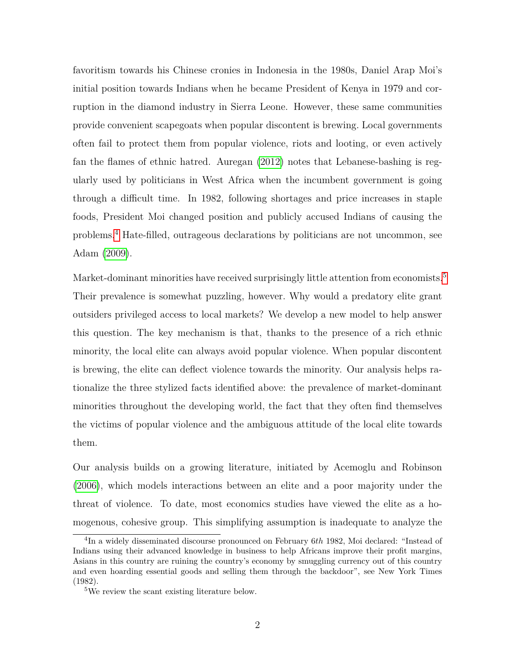favoritism towards his Chinese cronies in Indonesia in the 1980s, Daniel Arap Moi's initial position towards Indians when he became President of Kenya in 1979 and corruption in the diamond industry in Sierra Leone. However, these same communities provide convenient scapegoats when popular discontent is brewing. Local governments often fail to protect them from popular violence, riots and looting, or even actively fan the flames of ethnic hatred. Auregan [\(2012\)](#page-38-2) notes that Lebanese-bashing is regularly used by politicians in West Africa when the incumbent government is going through a difficult time. In 1982, following shortages and price increases in staple foods, President Moi changed position and publicly accused Indians of causing the problems.[4](#page-1-0) Hate-filled, outrageous declarations by politicians are not uncommon, see Adam [\(2009\)](#page-38-3).

Market-dominant minorities have received surprisingly little attention from economists.<sup>[5](#page-1-0)</sup> Their prevalence is somewhat puzzling, however. Why would a predatory elite grant outsiders privileged access to local markets? We develop a new model to help answer this question. The key mechanism is that, thanks to the presence of a rich ethnic minority, the local elite can always avoid popular violence. When popular discontent is brewing, the elite can deflect violence towards the minority. Our analysis helps rationalize the three stylized facts identified above: the prevalence of market-dominant minorities throughout the developing world, the fact that they often find themselves the victims of popular violence and the ambiguous attitude of the local elite towards them.

Our analysis builds on a growing literature, initiated by Acemoglu and Robinson [\(2006\)](#page-38-4), which models interactions between an elite and a poor majority under the threat of violence. To date, most economics studies have viewed the elite as a homogenous, cohesive group. This simplifying assumption is inadequate to analyze the

<sup>4</sup> In a widely disseminated discourse pronounced on February 6*th* 1982, Moi declared: "Instead of Indians using their advanced knowledge in business to help Africans improve their profit margins, Asians in this country are ruining the country's economy by smuggling currency out of this country and even hoarding essential goods and selling them through the backdoor", see New York Times (1982).

<sup>5</sup>We review the scant existing literature below.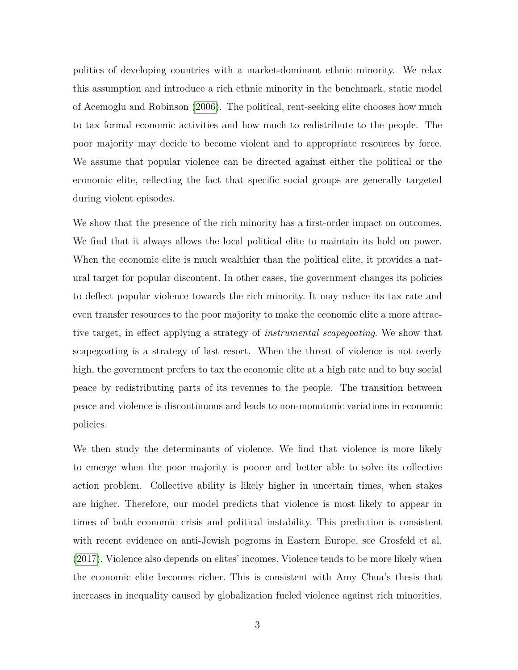politics of developing countries with a market-dominant ethnic minority. We relax this assumption and introduce a rich ethnic minority in the benchmark, static model of Acemoglu and Robinson [\(2006\)](#page-38-4). The political, rent-seeking elite chooses how much to tax formal economic activities and how much to redistribute to the people. The poor majority may decide to become violent and to appropriate resources by force. We assume that popular violence can be directed against either the political or the economic elite, reflecting the fact that specific social groups are generally targeted during violent episodes.

We show that the presence of the rich minority has a first-order impact on outcomes. We find that it always allows the local political elite to maintain its hold on power. When the economic elite is much wealthier than the political elite, it provides a natural target for popular discontent. In other cases, the government changes its policies to deflect popular violence towards the rich minority. It may reduce its tax rate and even transfer resources to the poor majority to make the economic elite a more attractive target, in effect applying a strategy of *instrumental scapegoating*. We show that scapegoating is a strategy of last resort. When the threat of violence is not overly high, the government prefers to tax the economic elite at a high rate and to buy social peace by redistributing parts of its revenues to the people. The transition between peace and violence is discontinuous and leads to non-monotonic variations in economic policies.

We then study the determinants of violence. We find that violence is more likely to emerge when the poor majority is poorer and better able to solve its collective action problem. Collective ability is likely higher in uncertain times, when stakes are higher. Therefore, our model predicts that violence is most likely to appear in times of both economic crisis and political instability. This prediction is consistent with recent evidence on anti-Jewish pogroms in Eastern Europe, see Grosfeld et al. [\(2017\)](#page-39-3). Violence also depends on elites' incomes. Violence tends to be more likely when the economic elite becomes richer. This is consistent with Amy Chua's thesis that increases in inequality caused by globalization fueled violence against rich minorities.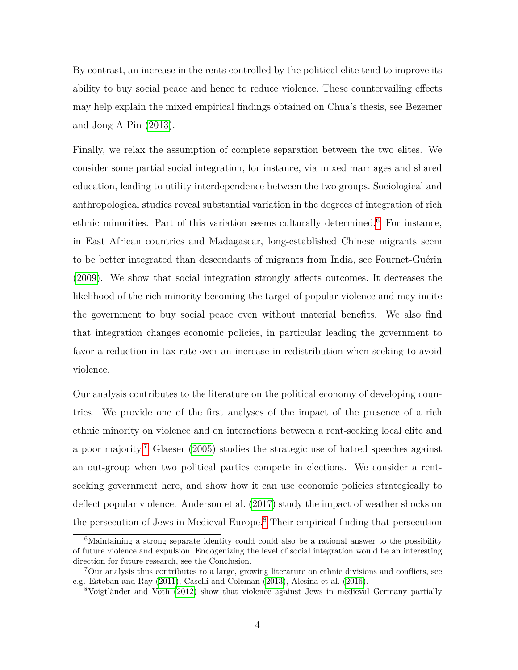By contrast, an increase in the rents controlled by the political elite tend to improve its ability to buy social peace and hence to reduce violence. These countervailing effects may help explain the mixed empirical findings obtained on Chua's thesis, see Bezemer and Jong-A-Pin [\(2013\)](#page-38-1).

Finally, we relax the assumption of complete separation between the two elites. We consider some partial social integration, for instance, via mixed marriages and shared education, leading to utility interdependence between the two groups. Sociological and anthropological studies reveal substantial variation in the degrees of integration of rich ethnic minorities. Part of this variation seems culturally determined.<sup>[6](#page-1-0)</sup> For instance, in East African countries and Madagascar, long-established Chinese migrants seem to be better integrated than descendants of migrants from India, see Fournet-Guérin [\(2009\)](#page-39-4). We show that social integration strongly affects outcomes. It decreases the likelihood of the rich minority becoming the target of popular violence and may incite the government to buy social peace even without material benefits. We also find that integration changes economic policies, in particular leading the government to favor a reduction in tax rate over an increase in redistribution when seeking to avoid violence.

Our analysis contributes to the literature on the political economy of developing countries. We provide one of the first analyses of the impact of the presence of a rich ethnic minority on violence and on interactions between a rent-seeking local elite and a poor majority.<sup>[7](#page-1-0)</sup> Glaeser [\(2005\)](#page-39-5) studies the strategic use of hatred speeches against an out-group when two political parties compete in elections. We consider a rentseeking government here, and show how it can use economic policies strategically to deflect popular violence. Anderson et al. [\(2017\)](#page-38-5) study the impact of weather shocks on the persecution of Jews in Medieval Europe.[8](#page-1-0) Their empirical finding that persecution

 ${}^{6}$ Maintaining a strong separate identity could could also be a rational answer to the possibility of future violence and expulsion. Endogenizing the level of social integration would be an interesting direction for future research, see the Conclusion.

<sup>7</sup>Our analysis thus contributes to a large, growing literature on ethnic divisions and conflicts, see e.g. Esteban and Ray [\(2011\)](#page-38-6), Caselli and Coleman [\(2013\)](#page-38-7), Alesina et al. [\(2016\)](#page-38-8).

<sup>8</sup>Voigtländer and Voth [\(2012\)](#page-39-6) show that violence against Jews in medieval Germany partially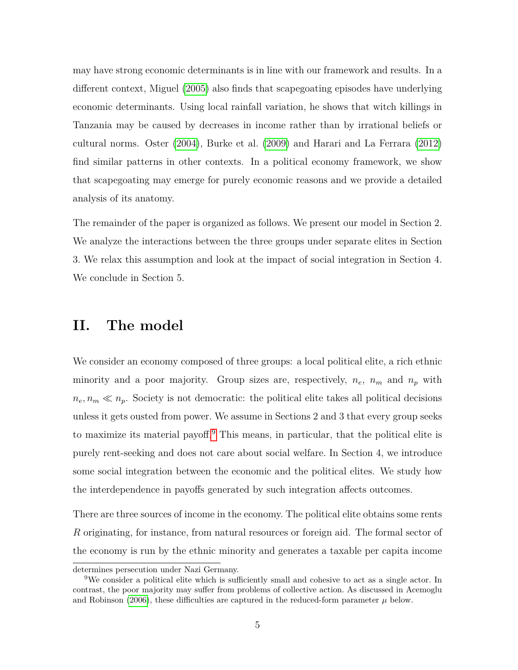may have strong economic determinants is in line with our framework and results. In a different context, Miguel [\(2005\)](#page-39-7) also finds that scapegoating episodes have underlying economic determinants. Using local rainfall variation, he shows that witch killings in Tanzania may be caused by decreases in income rather than by irrational beliefs or cultural norms. Oster [\(2004\)](#page-39-8), Burke et al. [\(2009\)](#page-38-9) and Harari and La Ferrara [\(2012\)](#page-39-9) find similar patterns in other contexts. In a political economy framework, we show that scapegoating may emerge for purely economic reasons and we provide a detailed analysis of its anatomy.

The remainder of the paper is organized as follows. We present our model in Section 2. We analyze the interactions between the three groups under separate elites in Section 3. We relax this assumption and look at the impact of social integration in Section 4. We conclude in Section 5.

## **II. The model**

We consider an economy composed of three groups: a local political elite, a rich ethnic minority and a poor majority. Group sizes are, respectively,  $n_e$ ,  $n_m$  and  $n_p$  with  $n_e, n_m \ll n_p$ . Society is not democratic: the political elite takes all political decisions unless it gets ousted from power. We assume in Sections 2 and 3 that every group seeks to maximize its material payoff.[9](#page-1-0) This means, in particular, that the political elite is purely rent-seeking and does not care about social welfare. In Section 4, we introduce some social integration between the economic and the political elites. We study how the interdependence in payoffs generated by such integration affects outcomes.

There are three sources of income in the economy. The political elite obtains some rents *R* originating, for instance, from natural resources or foreign aid. The formal sector of the economy is run by the ethnic minority and generates a taxable per capita income

determines persecution under Nazi Germany.

<sup>9</sup>We consider a political elite which is sufficiently small and cohesive to act as a single actor. In contrast, the poor majority may suffer from problems of collective action. As discussed in Acemoglu and Robinson [\(2006\)](#page-38-4), these difficulties are captured in the reduced-form parameter  $\mu$  below.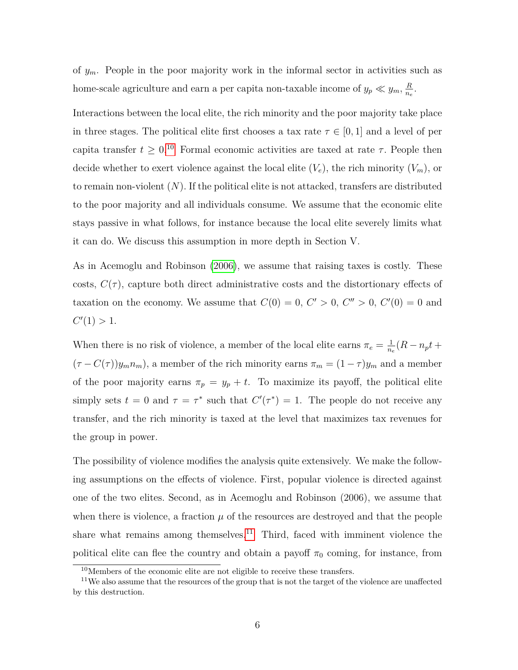of *ym*. People in the poor majority work in the informal sector in activities such as home-scale agriculture and earn a per capita non-taxable income of  $y_p \ll y_m$ ,  $\frac{R}{n_e}$  $\frac{R}{n_e}$ .

Interactions between the local elite, the rich minority and the poor majority take place in three stages. The political elite first chooses a tax rate  $\tau \in [0,1]$  and a level of per capita transfer  $t \geq 0$ <sup>[10](#page-1-0)</sup> Formal economic activities are taxed at rate  $\tau$ . People then decide whether to exert violence against the local elite  $(V_e)$ , the rich minority  $(V_m)$ , or to remain non-violent (*N*). If the political elite is not attacked, transfers are distributed to the poor majority and all individuals consume. We assume that the economic elite stays passive in what follows, for instance because the local elite severely limits what it can do. We discuss this assumption in more depth in Section V.

As in Acemoglu and Robinson [\(2006\)](#page-38-4), we assume that raising taxes is costly. These costs,  $C(\tau)$ , capture both direct administrative costs and the distortionary effects of taxation on the economy. We assume that  $C(0) = 0, C' > 0, C'' > 0, C'(0) = 0$  and  $C'(1) > 1.$ 

When there is no risk of violence, a member of the local elite earns  $\pi_e = \frac{1}{n_e}$  $\frac{1}{n_e}(R-n_pt+$  $(\tau - C(\tau))y_m n_m$ , a member of the rich minority earns  $\pi_m = (1 - \tau)y_m$  and a member of the poor majority earns  $\pi_p = y_p + t$ . To maximize its payoff, the political elite simply sets  $t = 0$  and  $\tau = \tau^*$  such that  $C'(\tau^*) = 1$ . The people do not receive any transfer, and the rich minority is taxed at the level that maximizes tax revenues for the group in power.

The possibility of violence modifies the analysis quite extensively. We make the following assumptions on the effects of violence. First, popular violence is directed against one of the two elites. Second, as in Acemoglu and Robinson (2006), we assume that when there is violence, a fraction  $\mu$  of the resources are destroyed and that the people share what remains among themselves.<sup>[11](#page-1-0)</sup> Third, faced with imminent violence the political elite can flee the country and obtain a payoff  $\pi_0$  coming, for instance, from

<sup>10</sup>Members of the economic elite are not eligible to receive these transfers.

<sup>&</sup>lt;sup>11</sup>We also assume that the resources of the group that is not the target of the violence are unaffected by this destruction.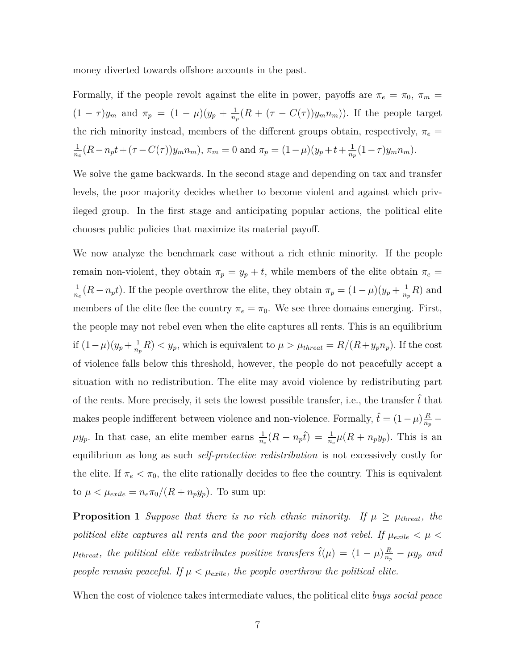money diverted towards offshore accounts in the past.

Formally, if the people revolt against the elite in power, payoffs are  $\pi_e = \pi_0$ ,  $\pi_m =$  $(1 - \tau)y_m$  and  $\pi_p = (1 - \mu)(y_p + \frac{1}{n_p})$  $\frac{1}{n_p}(R + (\tau - C(\tau))y_m n_m)$ ). If the people target the rich minority instead, members of the different groups obtain, respectively,  $\pi_e$  = 1  $\frac{1}{n_e}(R - n_p t + (\tau - C(\tau))y_m n_m)$ ,  $\pi_m = 0$  and  $\pi_p = (1 - \mu)(y_p + t + \frac{1}{n_p})$  $\frac{1}{n_p}(1-\tau)y_m n_m$ ).

We solve the game backwards. In the second stage and depending on tax and transfer levels, the poor majority decides whether to become violent and against which privileged group. In the first stage and anticipating popular actions, the political elite chooses public policies that maximize its material payoff.

We now analyze the benchmark case without a rich ethnic minority. If the people remain non-violent, they obtain  $\pi_p = y_p + t$ , while members of the elite obtain  $\pi_e =$ 1  $\frac{1}{n_e}(R - n_p t)$ . If the people overthrow the elite, they obtain  $\pi_p = (1 - \mu)(y_p + \frac{1}{n_p t})$  $\frac{1}{n_p}R$ ) and members of the elite flee the country  $\pi_e = \pi_0$ . We see three domains emerging. First, the people may not rebel even when the elite captures all rents. This is an equilibrium if  $(1 - \mu)(y_p + \frac{1}{n_a})$  $\frac{1}{n_p}R$   $\lt y_p$ , which is equivalent to  $\mu > \mu_{thread} = R/(R+y_p n_p)$ . If the cost of violence falls below this threshold, however, the people do not peacefully accept a situation with no redistribution. The elite may avoid violence by redistributing part of the rents. More precisely, it sets the lowest possible transfer, i.e., the transfer  $\hat{t}$  that makes people indifferent between violence and non-violence. Formally,  $\hat{t} = (1 - \mu)\frac{R}{n}$  $\frac{R}{n_p}$   $\mu y_p$ . In that case, an elite member earns  $\frac{1}{n_e}(R - n_p\hat{t}) = \frac{1}{n_e}\mu(R + n_p y_p)$ . This is an equilibrium as long as such *self-protective redistribution* is not excessively costly for the elite. If  $\pi_e < \pi_0$ , the elite rationally decides to flee the country. This is equivalent to  $\mu < \mu_{\text{exile}} = n_e \pi_0 / (R + n_p y_p)$ . To sum up:

<span id="page-8-0"></span>**Proposition 1** *Suppose that there is no rich ethnic minority. If*  $\mu \ge \mu_{\text{thresh}}$ *, the political elite captures all rents and the poor majority does not rebel. If*  $\mu_{\text{exile}} < \mu$  $\mu_{thresh}$ , the political elite redistributes positive transfers  $\hat{t}(\mu) = (1 - \mu) \frac{R}{n_e}$  $\frac{R}{n_p}-\mu y_p$  and *people remain peaceful. If*  $\mu < \mu_{exile}$ *, the people overthrow the political elite.* 

When the cost of violence takes intermediate values, the political elite *buys social peace*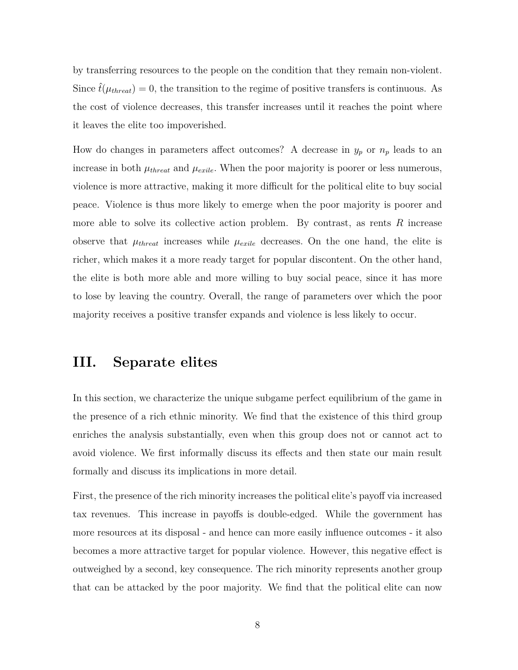by transferring resources to the people on the condition that they remain non-violent. Since  $\hat{t}(\mu_{\text{thread}}) = 0$ , the transition to the regime of positive transfers is continuous. As the cost of violence decreases, this transfer increases until it reaches the point where it leaves the elite too impoverished.

How do changes in parameters affect outcomes? A decrease in  $y_p$  or  $n_p$  leads to an increase in both  $\mu_{thread}$  and  $\mu_{exile}$ . When the poor majority is poorer or less numerous, violence is more attractive, making it more difficult for the political elite to buy social peace. Violence is thus more likely to emerge when the poor majority is poorer and more able to solve its collective action problem. By contrast, as rents *R* increase observe that  $\mu_{thread}$  increases while  $\mu_{exile}$  decreases. On the one hand, the elite is richer, which makes it a more ready target for popular discontent. On the other hand, the elite is both more able and more willing to buy social peace, since it has more to lose by leaving the country. Overall, the range of parameters over which the poor majority receives a positive transfer expands and violence is less likely to occur.

# **III. Separate elites**

In this section, we characterize the unique subgame perfect equilibrium of the game in the presence of a rich ethnic minority. We find that the existence of this third group enriches the analysis substantially, even when this group does not or cannot act to avoid violence. We first informally discuss its effects and then state our main result formally and discuss its implications in more detail.

First, the presence of the rich minority increases the political elite's payoff via increased tax revenues. This increase in payoffs is double-edged. While the government has more resources at its disposal - and hence can more easily influence outcomes - it also becomes a more attractive target for popular violence. However, this negative effect is outweighed by a second, key consequence. The rich minority represents another group that can be attacked by the poor majority. We find that the political elite can now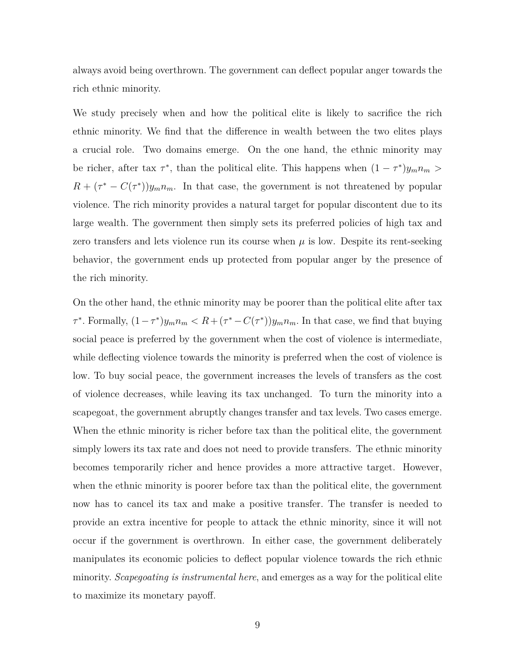always avoid being overthrown. The government can deflect popular anger towards the rich ethnic minority.

We study precisely when and how the political elite is likely to sacrifice the rich ethnic minority. We find that the difference in wealth between the two elites plays a crucial role. Two domains emerge. On the one hand, the ethnic minority may be richer, after tax  $\tau^*$ , than the political elite. This happens when  $(1 - \tau^*)y_m n_m >$  $R + (\tau^* - C(\tau^*))y_m n_m$ . In that case, the government is not threatened by popular violence. The rich minority provides a natural target for popular discontent due to its large wealth. The government then simply sets its preferred policies of high tax and zero transfers and lets violence run its course when  $\mu$  is low. Despite its rent-seeking behavior, the government ends up protected from popular anger by the presence of the rich minority.

On the other hand, the ethnic minority may be poorer than the political elite after tax *τ*<sup>\*</sup>. Formally,  $(1 - \tau^*)y_m n_m < R + (\tau^* - C(\tau^*))y_m n_m$ . In that case, we find that buying social peace is preferred by the government when the cost of violence is intermediate, while deflecting violence towards the minority is preferred when the cost of violence is low. To buy social peace, the government increases the levels of transfers as the cost of violence decreases, while leaving its tax unchanged. To turn the minority into a scapegoat, the government abruptly changes transfer and tax levels. Two cases emerge. When the ethnic minority is richer before tax than the political elite, the government simply lowers its tax rate and does not need to provide transfers. The ethnic minority becomes temporarily richer and hence provides a more attractive target. However, when the ethnic minority is poorer before tax than the political elite, the government now has to cancel its tax and make a positive transfer. The transfer is needed to provide an extra incentive for people to attack the ethnic minority, since it will not occur if the government is overthrown. In either case, the government deliberately manipulates its economic policies to deflect popular violence towards the rich ethnic minority. *Scapegoating is instrumental here*, and emerges as a way for the political elite to maximize its monetary payoff.

9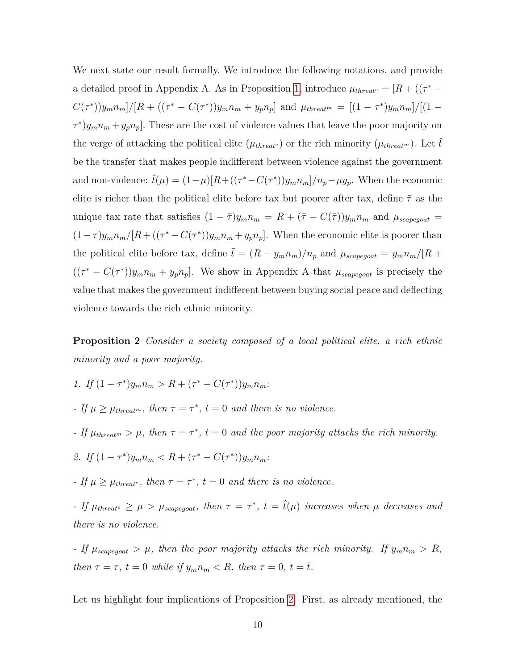We next state our result formally. We introduce the following notations, and provide a detailed proof in Appendix A. As in Proposition [1,](#page-8-0) introduce  $\mu_{thread} = [R + ((\tau^* C(\tau^*)[y_m n_m]/[R + ((\tau^* - C(\tau^*))y_m n_m + y_p n_p]$  and  $\mu_{thread^m} = [(1 - \tau^*)y_m n_m]/[(1 \tau^*$ ) $y_m n_m + y_p n_p$ . These are the cost of violence values that leave the poor majority on the verge of attacking the political elite ( $\mu_{thread}$ <sup>*t*</sup>) or the rich minority ( $\mu_{thread}$ <sup>*m*</sup>). Let  $\hat{t}$ be the transfer that makes people indifferent between violence against the government and non-violence:  $\hat{t}(\mu) = (1 - \mu)[R + ((\tau^* - C(\tau^*))y_m n_m]/n_p - \mu y_p$ . When the economic elite is richer than the political elite before tax but poorer after tax, define  $\bar{\tau}$  as the unique tax rate that satisfies  $(1 - \bar{\tau})y_m n_m = R + (\bar{\tau} - C(\bar{\tau}))y_m n_m$  and  $\mu_{scapegoat}$  $(1-\bar{\tau})y_m n_m/[R + ((\tau^* - C(\tau^*))y_m n_m + y_p n_p].$  When the economic elite is poorer than the political elite before tax, define  $\bar{t} = (R - y_m n_m)/n_p$  and  $\mu_{scapegoat} = y_m n_m/[R +$  $((\tau^* - C(\tau^*))y_m n_m + y_p n_p]$ . We show in Appendix A that  $\mu_{scapegoat}$  is precisely the value that makes the government indifferent between buying social peace and deflecting violence towards the rich ethnic minority.

<span id="page-11-0"></span>**Proposition 2** *Consider a society composed of a local political elite, a rich ethnic minority and a poor majority.*

- *1.* If  $(1 \tau^*)y_m n_m > R + (\tau^* C(\tau^*))y_m n_m$
- *-* If  $\mu \ge \mu_{thread^m}$ , then  $\tau = \tau^*$ ,  $t = 0$  and there is no violence.
- *If*  $\mu_{\text{thread}^m} > \mu$ , then  $\tau = \tau^*$ ,  $t = 0$  and the poor majority attacks the rich minority.
- 2. If  $(1 \tau^*)y_m n_m < R + (\tau^* C(\tau^*))y_m n_m$
- *-* If  $\mu \ge \mu_{threat}$ , then  $\tau = \tau^*$ ,  $t = 0$  and there is no violence.

*-* If  $\mu_{there} \geq \mu > \mu_{scapegoat}$ , then  $\tau = \tau^*$ ,  $t = \hat{t}(\mu)$  *increases when*  $\mu$  decreases and *there is no violence.*

*- If*  $\mu_{scapegoat} > \mu$ *, then the poor majority attacks the rich minority. If*  $y_m n_m > R$ *, then*  $\tau = \bar{\tau}$ *,*  $t = 0$  *while if*  $y_m n_m < R$ *, then*  $\tau = 0$ *,*  $t = \bar{t}$ *.* 

Let us highlight four implications of Proposition [2.](#page-11-0) First, as already mentioned, the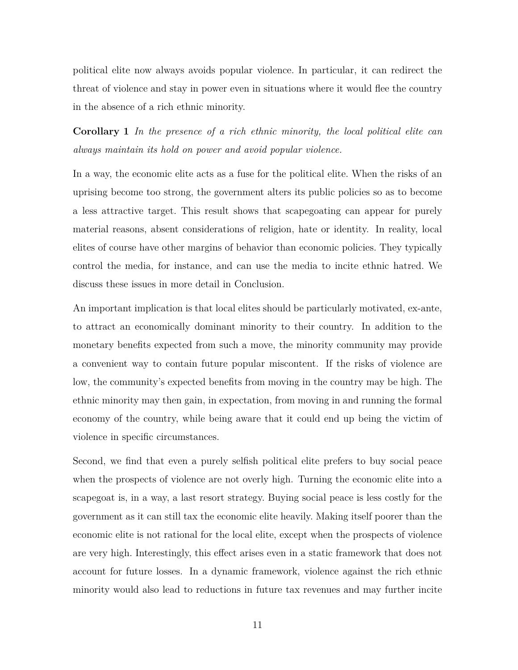political elite now always avoids popular violence. In particular, it can redirect the threat of violence and stay in power even in situations where it would flee the country in the absence of a rich ethnic minority.

**Corollary 1** *In the presence of a rich ethnic minority, the local political elite can always maintain its hold on power and avoid popular violence.*

In a way, the economic elite acts as a fuse for the political elite. When the risks of an uprising become too strong, the government alters its public policies so as to become a less attractive target. This result shows that scapegoating can appear for purely material reasons, absent considerations of religion, hate or identity. In reality, local elites of course have other margins of behavior than economic policies. They typically control the media, for instance, and can use the media to incite ethnic hatred. We discuss these issues in more detail in Conclusion.

An important implication is that local elites should be particularly motivated, ex-ante, to attract an economically dominant minority to their country. In addition to the monetary benefits expected from such a move, the minority community may provide a convenient way to contain future popular miscontent. If the risks of violence are low, the community's expected benefits from moving in the country may be high. The ethnic minority may then gain, in expectation, from moving in and running the formal economy of the country, while being aware that it could end up being the victim of violence in specific circumstances.

Second, we find that even a purely selfish political elite prefers to buy social peace when the prospects of violence are not overly high. Turning the economic elite into a scapegoat is, in a way, a last resort strategy. Buying social peace is less costly for the government as it can still tax the economic elite heavily. Making itself poorer than the economic elite is not rational for the local elite, except when the prospects of violence are very high. Interestingly, this effect arises even in a static framework that does not account for future losses. In a dynamic framework, violence against the rich ethnic minority would also lead to reductions in future tax revenues and may further incite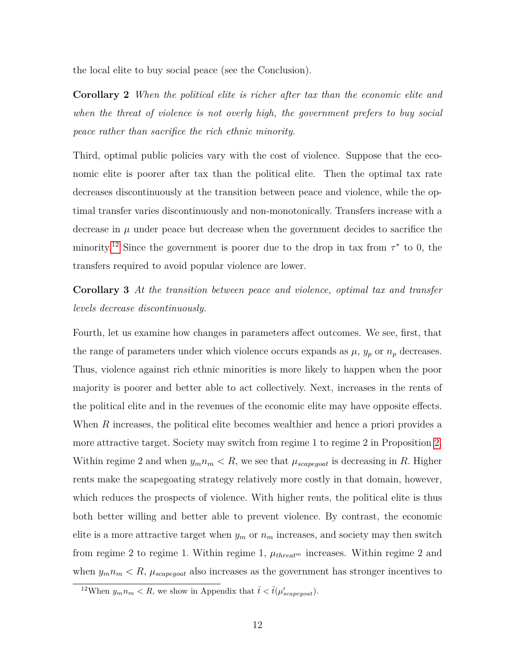the local elite to buy social peace (see the Conclusion).

**Corollary 2** *When the political elite is richer after tax than the economic elite and when the threat of violence is not overly high, the government prefers to buy social peace rather than sacrifice the rich ethnic minority.*

Third, optimal public policies vary with the cost of violence. Suppose that the economic elite is poorer after tax than the political elite. Then the optimal tax rate decreases discontinuously at the transition between peace and violence, while the optimal transfer varies discontinuously and non-monotonically. Transfers increase with a decrease in  $\mu$  under peace but decrease when the government decides to sacrifice the minority.<sup>[12](#page-1-0)</sup> Since the government is poorer due to the drop in tax from  $\tau^*$  to 0, the transfers required to avoid popular violence are lower.

**Corollary 3** *At the transition between peace and violence, optimal tax and transfer levels decrease discontinuously.*

Fourth, let us examine how changes in parameters affect outcomes. We see, first, that the range of parameters under which violence occurs expands as  $\mu$ ,  $y_p$  or  $n_p$  decreases. Thus, violence against rich ethnic minorities is more likely to happen when the poor majority is poorer and better able to act collectively. Next, increases in the rents of the political elite and in the revenues of the economic elite may have opposite effects. When *R* increases, the political elite becomes wealthier and hence a priori provides a more attractive target. Society may switch from regime 1 to regime 2 in Proposition [2.](#page-11-0) Within regime 2 and when  $y_m n_m < R$ , we see that  $\mu_{scapegoat}$  is decreasing in *R*. Higher rents make the scapegoating strategy relatively more costly in that domain, however, which reduces the prospects of violence. With higher rents, the political elite is thus both better willing and better able to prevent violence. By contrast, the economic elite is a more attractive target when  $y_m$  or  $n_m$  increases, and society may then switch from regime 2 to regime 1. Within regime 1,  $\mu_{thread^m}$  increases. Within regime 2 and when  $y_m n_m < R$ ,  $\mu_{scapegoat}$  also increases as the government has stronger incentives to

<sup>&</sup>lt;sup>12</sup>When  $y_m n_m < R$ , we show in Appendix that  $\bar{t} < \hat{t}(\mu_{scapegoat}')$ .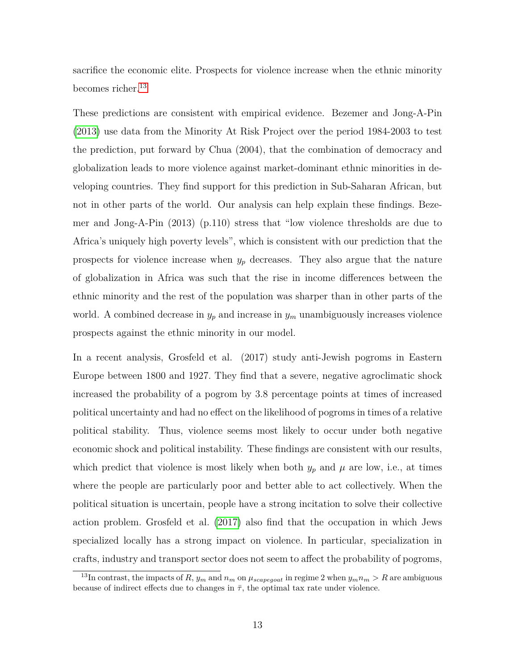sacrifice the economic elite. Prospects for violence increase when the ethnic minority becomes richer.<sup>[13](#page-1-0)</sup>

These predictions are consistent with empirical evidence. Bezemer and Jong-A-Pin [\(2013\)](#page-38-1) use data from the Minority At Risk Project over the period 1984-2003 to test the prediction, put forward by Chua (2004), that the combination of democracy and globalization leads to more violence against market-dominant ethnic minorities in developing countries. They find support for this prediction in Sub-Saharan African, but not in other parts of the world. Our analysis can help explain these findings. Bezemer and Jong-A-Pin (2013) (p.110) stress that "low violence thresholds are due to Africa's uniquely high poverty levels", which is consistent with our prediction that the prospects for violence increase when *y<sup>p</sup>* decreases. They also argue that the nature of globalization in Africa was such that the rise in income differences between the ethnic minority and the rest of the population was sharper than in other parts of the world. A combined decrease in  $y_p$  and increase in  $y_m$  unambiguously increases violence prospects against the ethnic minority in our model.

In a recent analysis, Grosfeld et al. (2017) study anti-Jewish pogroms in Eastern Europe between 1800 and 1927. They find that a severe, negative agroclimatic shock increased the probability of a pogrom by 3.8 percentage points at times of increased political uncertainty and had no effect on the likelihood of pogroms in times of a relative political stability. Thus, violence seems most likely to occur under both negative economic shock and political instability. These findings are consistent with our results, which predict that violence is most likely when both  $y_p$  and  $\mu$  are low, i.e., at times where the people are particularly poor and better able to act collectively. When the political situation is uncertain, people have a strong incitation to solve their collective action problem. Grosfeld et al. [\(2017\)](#page-39-3) also find that the occupation in which Jews specialized locally has a strong impact on violence. In particular, specialization in crafts, industry and transport sector does not seem to affect the probability of pogroms,

<sup>&</sup>lt;sup>13</sup>In contrast, the impacts of *R*,  $y_m$  and  $n_m$  on  $\mu_{scapegoat}$  in regime 2 when  $y_m n_m > R$  are ambiguous because of indirect effects due to changes in  $\bar{\tau}$ , the optimal tax rate under violence.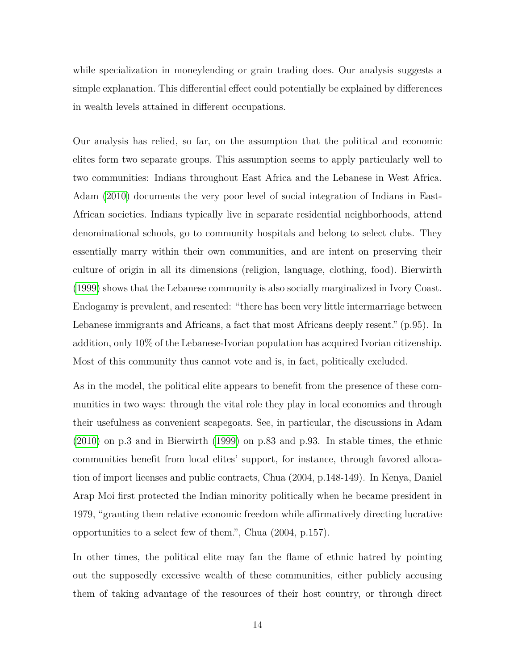while specialization in moneylending or grain trading does. Our analysis suggests a simple explanation. This differential effect could potentially be explained by differences in wealth levels attained in different occupations.

Our analysis has relied, so far, on the assumption that the political and economic elites form two separate groups. This assumption seems to apply particularly well to two communities: Indians throughout East Africa and the Lebanese in West Africa. Adam [\(2010\)](#page-38-10) documents the very poor level of social integration of Indians in East-African societies. Indians typically live in separate residential neighborhoods, attend denominational schools, go to community hospitals and belong to select clubs. They essentially marry within their own communities, and are intent on preserving their culture of origin in all its dimensions (religion, language, clothing, food). Bierwirth [\(1999\)](#page-38-11) shows that the Lebanese community is also socially marginalized in Ivory Coast. Endogamy is prevalent, and resented: "there has been very little intermarriage between Lebanese immigrants and Africans, a fact that most Africans deeply resent." (p.95). In addition, only 10% of the Lebanese-Ivorian population has acquired Ivorian citizenship. Most of this community thus cannot vote and is, in fact, politically excluded.

As in the model, the political elite appears to benefit from the presence of these communities in two ways: through the vital role they play in local economies and through their usefulness as convenient scapegoats. See, in particular, the discussions in Adam [\(2010\)](#page-38-10) on p.3 and in Bierwirth [\(1999\)](#page-38-11) on p.83 and p.93. In stable times, the ethnic communities benefit from local elites' support, for instance, through favored allocation of import licenses and public contracts, Chua (2004, p.148-149). In Kenya, Daniel Arap Moi first protected the Indian minority politically when he became president in 1979, "granting them relative economic freedom while affirmatively directing lucrative opportunities to a select few of them.", Chua (2004, p.157).

In other times, the political elite may fan the flame of ethnic hatred by pointing out the supposedly excessive wealth of these communities, either publicly accusing them of taking advantage of the resources of their host country, or through direct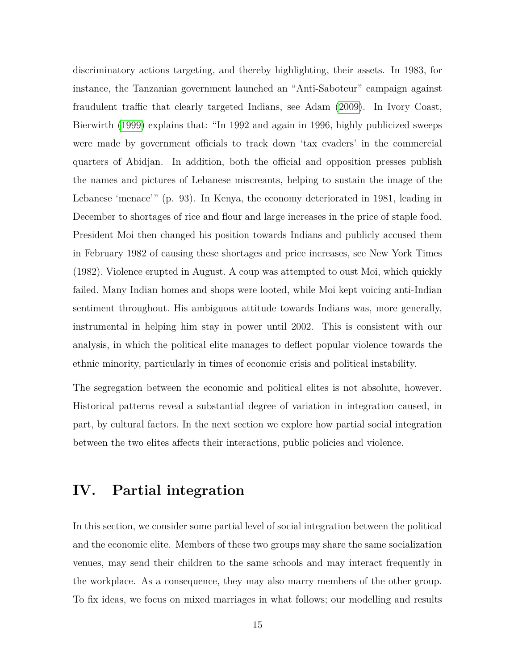discriminatory actions targeting, and thereby highlighting, their assets. In 1983, for instance, the Tanzanian government launched an "Anti-Saboteur" campaign against fraudulent traffic that clearly targeted Indians, see Adam [\(2009\)](#page-38-3). In Ivory Coast, Bierwirth [\(1999\)](#page-38-11) explains that: "In 1992 and again in 1996, highly publicized sweeps were made by government officials to track down 'tax evaders' in the commercial quarters of Abidjan. In addition, both the official and opposition presses publish the names and pictures of Lebanese miscreants, helping to sustain the image of the Lebanese 'menace'" (p. 93). In Kenya, the economy deteriorated in 1981, leading in December to shortages of rice and flour and large increases in the price of staple food. President Moi then changed his position towards Indians and publicly accused them in February 1982 of causing these shortages and price increases, see New York Times (1982). Violence erupted in August. A coup was attempted to oust Moi, which quickly failed. Many Indian homes and shops were looted, while Moi kept voicing anti-Indian sentiment throughout. His ambiguous attitude towards Indians was, more generally, instrumental in helping him stay in power until 2002. This is consistent with our analysis, in which the political elite manages to deflect popular violence towards the ethnic minority, particularly in times of economic crisis and political instability.

The segregation between the economic and political elites is not absolute, however. Historical patterns reveal a substantial degree of variation in integration caused, in part, by cultural factors. In the next section we explore how partial social integration between the two elites affects their interactions, public policies and violence.

## **IV. Partial integration**

In this section, we consider some partial level of social integration between the political and the economic elite. Members of these two groups may share the same socialization venues, may send their children to the same schools and may interact frequently in the workplace. As a consequence, they may also marry members of the other group. To fix ideas, we focus on mixed marriages in what follows; our modelling and results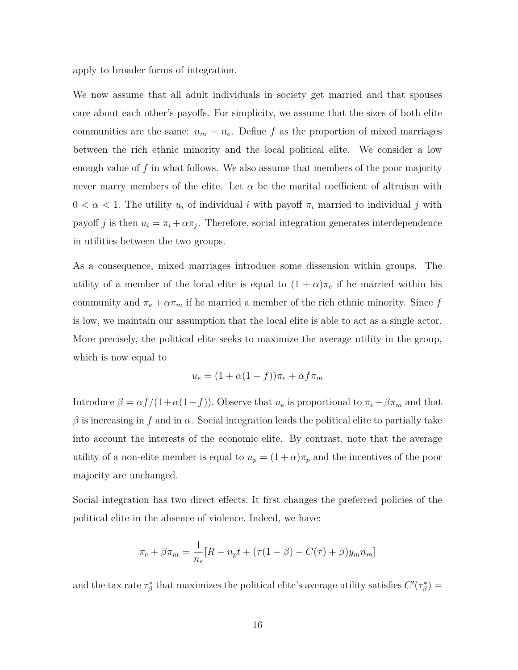apply to broader forms of integration.

We now assume that all adult individuals in society get married and that spouses care about each other's payoffs. For simplicity, we assume that the sizes of both elite communities are the same:  $n_m = n_e$ . Define f as the proportion of mixed marriages between the rich ethnic minority and the local political elite. We consider a low enough value of *f* in what follows. We also assume that members of the poor majority never marry members of the elite. Let  $\alpha$  be the marital coefficient of altruism with  $0 < \alpha < 1$ . The utility  $u_i$  of individual *i* with payoff  $\pi_i$  married to individual *j* with payoff *j* is then  $u_i = \pi_i + \alpha \pi_j$ . Therefore, social integration generates interdependence in utilities between the two groups.

As a consequence, mixed marriages introduce some dissension within groups. The utility of a member of the local elite is equal to  $(1 + \alpha)\pi_e$  if he married within his community and  $\pi_e + \alpha \pi_m$  if he married a member of the rich ethnic minority. Since *f* is low, we maintain our assumption that the local elite is able to act as a single actor. More precisely, the political elite seeks to maximize the average utility in the group, which is now equal to

$$
u_e = (1 + \alpha(1 - f))\pi_e + \alpha f \pi_m
$$

Introduce  $\beta = \alpha f/(1+\alpha(1-f))$ . Observe that  $u_e$  is proportional to  $\pi_e + \beta \pi_m$  and that  $β$  is increasing in *f* and in  $α$ . Social integration leads the political elite to partially take into account the interests of the economic elite. By contrast, note that the average utility of a non-elite member is equal to  $u_p = (1 + \alpha)\pi_p$  and the incentives of the poor majority are unchanged.

Social integration has two direct effects. It first changes the preferred policies of the political elite in the absence of violence. Indeed, we have:

$$
\pi_e + \beta \pi_m = \frac{1}{n_e} [R - n_p t + (\tau (1 - \beta) - C(\tau) + \beta) y_m n_m]
$$

and the tax rate  $\tau^*_{\beta}$  that maximizes the political elite's average utility satisfies  $C'(\tau^*_{\beta}) =$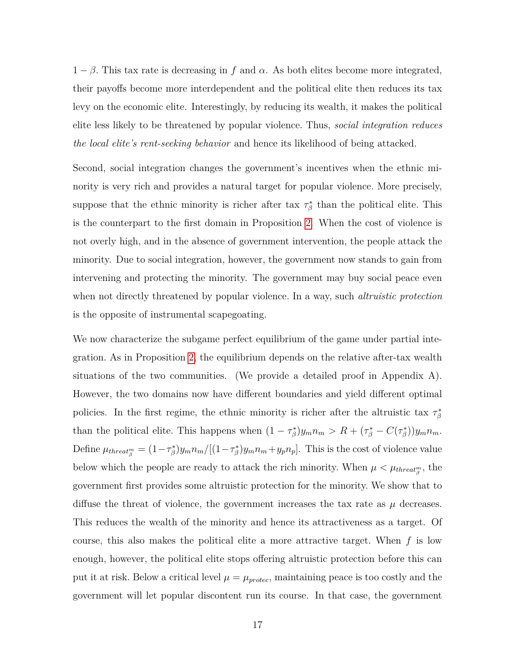$1 - \beta$ . This tax rate is decreasing in f and  $\alpha$ . As both elites become more integrated, their payoffs become more interdependent and the political elite then reduces its tax levy on the economic elite. Interestingly, by reducing its wealth, it makes the political elite less likely to be threatened by popular violence. Thus, *social integration reduces the local elite's rent-seeking behavior* and hence its likelihood of being attacked.

Second, social integration changes the government's incentives when the ethnic minority is very rich and provides a natural target for popular violence. More precisely, suppose that the ethnic minority is richer after tax  $\tau^*_{\beta}$  than the political elite. This is the counterpart to the first domain in Proposition [2.](#page-11-0) When the cost of violence is not overly high, and in the absence of government intervention, the people attack the minority. Due to social integration, however, the government now stands to gain from intervening and protecting the minority. The government may buy social peace even when not directly threatened by popular violence. In a way, such *altruistic protection* is the opposite of instrumental scapegoating.

We now characterize the subgame perfect equilibrium of the game under partial integration. As in Proposition [2,](#page-11-0) the equilibrium depends on the relative after-tax wealth situations of the two communities. (We provide a detailed proof in Appendix A). However, the two domains now have different boundaries and yield different optimal policies. In the first regime, the ethnic minority is richer after the altruistic tax  $\tau^*_{\beta}$ than the political elite. This happens when  $(1 - \tau_{\beta}^*)y_m n_m > R + (\tau_{\beta}^* - C(\tau_{\beta}^*))y_m n_m$ . Define  $\mu_{thread_{\beta}^{m}} = (1 - \tau_{\beta}^{*})y_m n_m/[(1 - \tau_{\beta}^{*})y_m n_m + y_p n_p]$ . This is the cost of violence value below which the people are ready to attack the rich minority. When  $\mu < \mu_{thread_{\beta}^m}$ , the government first provides some altruistic protection for the minority. We show that to diffuse the threat of violence, the government increases the tax rate as  $\mu$  decreases. This reduces the wealth of the minority and hence its attractiveness as a target. Of course, this also makes the political elite a more attractive target. When *f* is low enough, however, the political elite stops offering altruistic protection before this can put it at risk. Below a critical level  $\mu = \mu_{\text{protec}}$ , maintaining peace is too costly and the government will let popular discontent run its course. In that case, the government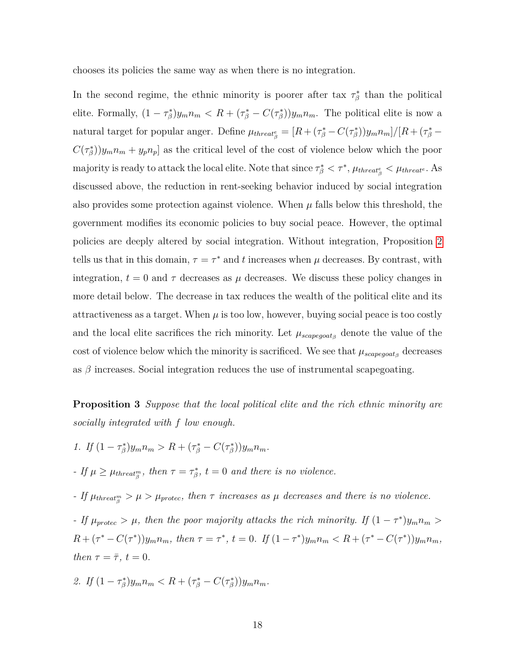chooses its policies the same way as when there is no integration.

In the second regime, the ethnic minority is poorer after tax  $\tau^*_{\beta}$  than the political elite. Formally,  $(1 - \tau_{\beta}^*)y_m n_m < R + (\tau_{\beta}^* - C(\tau_{\beta}^*))y_m n_m$ . The political elite is now a natural target for popular anger. Define  $\mu_{thread}^e = [R + (\tau^*_{\beta} - C(\tau^*_{\beta}))y_m n_m]/[R + (\tau^*_{\beta} - C(\tau^*_{\beta}))y_m n_m]$  $C(\tau_{\beta}^{*})$ ) $y_{m}n_{m} + y_{p}n_{p}$  as the critical level of the cost of violence below which the poor  $\Delta$  majority is ready to attack the local elite. Note that since  $\tau^*_{\beta} < \tau^*$ ,  $\mu_{thread^e_{\beta}} < \mu_{thread^e}$ . As discussed above, the reduction in rent-seeking behavior induced by social integration also provides some protection against violence. When  $\mu$  falls below this threshold, the government modifies its economic policies to buy social peace. However, the optimal policies are deeply altered by social integration. Without integration, Proposition [2](#page-11-0) tells us that in this domain,  $\tau = \tau^*$  and *t* increases when  $\mu$  decreases. By contrast, with integration,  $t = 0$  and  $\tau$  decreases as  $\mu$  decreases. We discuss these policy changes in more detail below. The decrease in tax reduces the wealth of the political elite and its attractiveness as a target. When  $\mu$  is too low, however, buying social peace is too costly and the local elite sacrifices the rich minority. Let  $\mu_{scapegoat\beta}$  denote the value of the cost of violence below which the minority is sacrificed. We see that  $\mu_{scapegoat\beta}$  decreases as  $\beta$  increases. Social integration reduces the use of instrumental scapegoating.

<span id="page-19-0"></span>**Proposition 3** *Suppose that the local political elite and the rich ethnic minority are socially integrated with f low enough.*

*1. If*  $(1 - \tau_{\beta}^{*})y_{m}n_{m} > R + (\tau_{\beta}^{*} - C(\tau_{\beta}^{*}))y_{m}n_{m}$ .

*- If*  $\mu \ge \mu_{thread_{\beta}^m}$ , then  $\tau = \tau_{\beta}^*$ ,  $t = 0$  and there is no violence.

*- If*  $\mu_{thread_{\beta}^m} > \mu > \mu_{protec}$ , then  $\tau$  increases as  $\mu$  decreases and there is no violence.

*-* If  $\mu_{\text{protec}} > \mu$ , then the poor majority attacks the rich minority. If  $(1 - \tau^*)y_m n_m >$  $R + (\tau^* - C(\tau^*))y_m n_m$ , then  $\tau = \tau^*$ ,  $t = 0$ . If  $(1 - \tau^*)y_m n_m < R + (\tau^* - C(\tau^*))y_m n_m$ , *then*  $\tau = \overline{\tau}$ *,*  $t = 0$ *.* 

2. If 
$$
(1 - \tau_{\beta}^*)y_m n_m < R + (\tau_{\beta}^* - C(\tau_{\beta}^*))y_m n_m.
$$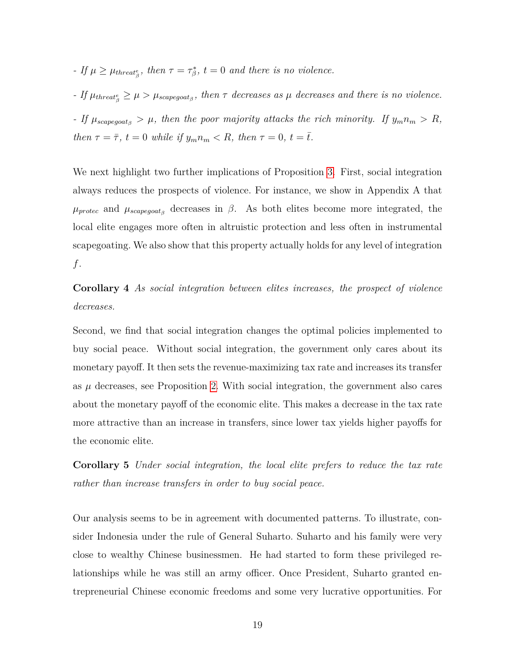*- If*  $\mu \ge \mu_{thread^e_{\beta}}$ , then  $\tau = \tau^*_{\beta}$ ,  $t = 0$  and there is no violence.

*- If*  $\mu_{thereaf} \geq \mu > \mu_{scapegoat}$ , then  $\tau$  decreases as  $\mu$  decreases and there is no violence.

*- If*  $\mu_{scapegoat}$  *>*  $\mu$ *, then the poor majority attacks the rich minority. If*  $y_m n_m > R$ , *then*  $\tau = \bar{\tau}$ *,*  $t = 0$  *while if*  $y_m n_m < R$ *, then*  $\tau = 0$ *,*  $t = \bar{t}$ *.* 

We next highlight two further implications of Proposition [3.](#page-19-0) First, social integration always reduces the prospects of violence. For instance, we show in Appendix A that  $\mu_{\text{protec}}$  and  $\mu_{\text{scapegoots}}$  decreases in  $\beta$ . As both elites become more integrated, the local elite engages more often in altruistic protection and less often in instrumental scapegoating. We also show that this property actually holds for any level of integration *f*.

**Corollary 4** *As social integration between elites increases, the prospect of violence decreases.*

Second, we find that social integration changes the optimal policies implemented to buy social peace. Without social integration, the government only cares about its monetary payoff. It then sets the revenue-maximizing tax rate and increases its transfer as  $\mu$  decreases, see Proposition [2.](#page-11-0) With social integration, the government also cares about the monetary payoff of the economic elite. This makes a decrease in the tax rate more attractive than an increase in transfers, since lower tax yields higher payoffs for the economic elite.

**Corollary 5** *Under social integration, the local elite prefers to reduce the tax rate rather than increase transfers in order to buy social peace.*

Our analysis seems to be in agreement with documented patterns. To illustrate, consider Indonesia under the rule of General Suharto. Suharto and his family were very close to wealthy Chinese businessmen. He had started to form these privileged relationships while he was still an army officer. Once President, Suharto granted entrepreneurial Chinese economic freedoms and some very lucrative opportunities. For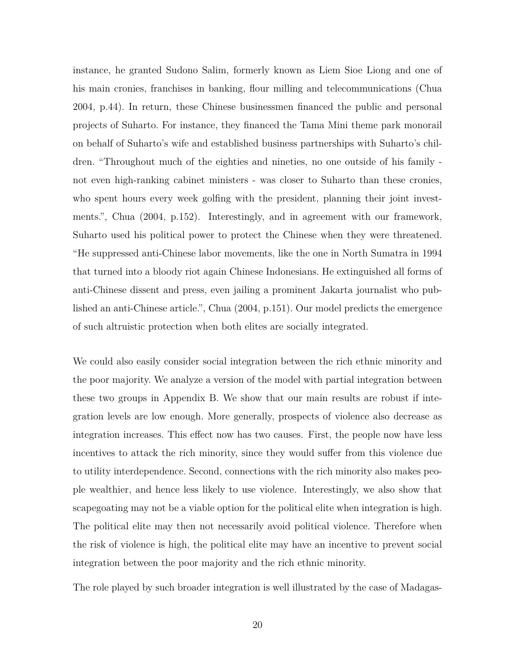instance, he granted Sudono Salim, formerly known as Liem Sioe Liong and one of his main cronies, franchises in banking, flour milling and telecommunications (Chua 2004, p.44). In return, these Chinese businessmen financed the public and personal projects of Suharto. For instance, they financed the Tama Mini theme park monorail on behalf of Suharto's wife and established business partnerships with Suharto's children. "Throughout much of the eighties and nineties, no one outside of his family not even high-ranking cabinet ministers - was closer to Suharto than these cronies, who spent hours every week golfing with the president, planning their joint investments.", Chua (2004, p.152). Interestingly, and in agreement with our framework, Suharto used his political power to protect the Chinese when they were threatened. "He suppressed anti-Chinese labor movements, like the one in North Sumatra in 1994 that turned into a bloody riot again Chinese Indonesians. He extinguished all forms of anti-Chinese dissent and press, even jailing a prominent Jakarta journalist who published an anti-Chinese article.", Chua (2004, p.151). Our model predicts the emergence of such altruistic protection when both elites are socially integrated.

We could also easily consider social integration between the rich ethnic minority and the poor majority. We analyze a version of the model with partial integration between these two groups in Appendix B. We show that our main results are robust if integration levels are low enough. More generally, prospects of violence also decrease as integration increases. This effect now has two causes. First, the people now have less incentives to attack the rich minority, since they would suffer from this violence due to utility interdependence. Second, connections with the rich minority also makes people wealthier, and hence less likely to use violence. Interestingly, we also show that scapegoating may not be a viable option for the political elite when integration is high. The political elite may then not necessarily avoid political violence. Therefore when the risk of violence is high, the political elite may have an incentive to prevent social integration between the poor majority and the rich ethnic minority.

The role played by such broader integration is well illustrated by the case of Madagas-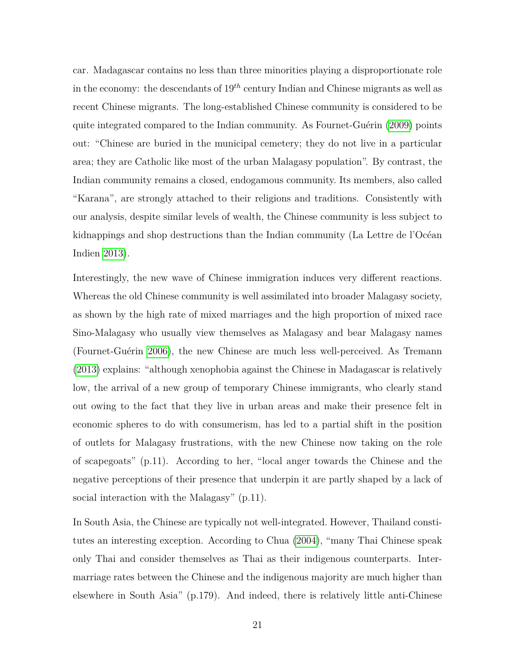car. Madagascar contains no less than three minorities playing a disproportionate role in the economy: the descendants of  $19<sup>th</sup>$  century Indian and Chinese migrants as well as recent Chinese migrants. The long-established Chinese community is considered to be quite integrated compared to the Indian community. As Fournet-Guérin [\(2009\)](#page-39-4) points out: "Chinese are buried in the municipal cemetery; they do not live in a particular area; they are Catholic like most of the urban Malagasy population". By contrast, the Indian community remains a closed, endogamous community. Its members, also called "Karana", are strongly attached to their religions and traditions. Consistently with our analysis, despite similar levels of wealth, the Chinese community is less subject to kidnappings and shop destructions than the Indian community (La Lettre de l'Océan Indien [2013\)](#page-39-10).

Interestingly, the new wave of Chinese immigration induces very different reactions. Whereas the old Chinese community is well assimilated into broader Malagasy society, as shown by the high rate of mixed marriages and the high proportion of mixed race Sino-Malagasy who usually view themselves as Malagasy and bear Malagasy names (Fournet-Guérin [2006\)](#page-38-12), the new Chinese are much less well-perceived. As Tremann [\(2013\)](#page-39-11) explains: "although xenophobia against the Chinese in Madagascar is relatively low, the arrival of a new group of temporary Chinese immigrants, who clearly stand out owing to the fact that they live in urban areas and make their presence felt in economic spheres to do with consumerism, has led to a partial shift in the position of outlets for Malagasy frustrations, with the new Chinese now taking on the role of scapegoats" (p.11). According to her, "local anger towards the Chinese and the negative perceptions of their presence that underpin it are partly shaped by a lack of social interaction with the Malagasy" (p.11).

In South Asia, the Chinese are typically not well-integrated. However, Thailand constitutes an interesting exception. According to Chua [\(2004\)](#page-38-0), "many Thai Chinese speak only Thai and consider themselves as Thai as their indigenous counterparts. Intermarriage rates between the Chinese and the indigenous majority are much higher than elsewhere in South Asia" (p.179). And indeed, there is relatively little anti-Chinese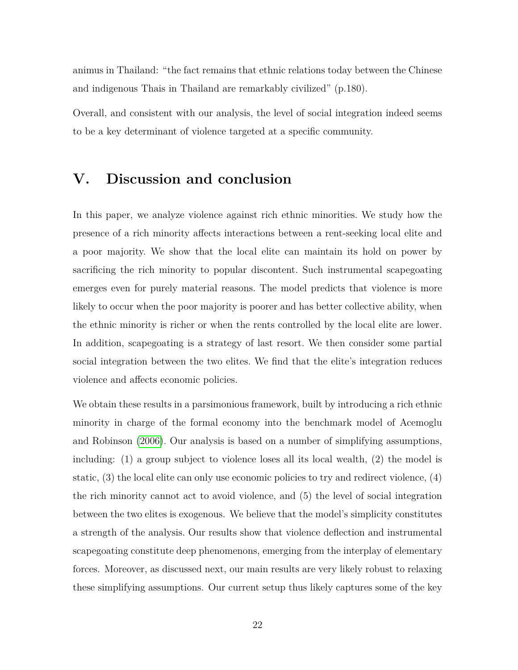animus in Thailand: "the fact remains that ethnic relations today between the Chinese and indigenous Thais in Thailand are remarkably civilized" (p.180).

Overall, and consistent with our analysis, the level of social integration indeed seems to be a key determinant of violence targeted at a specific community.

# **V. Discussion and conclusion**

In this paper, we analyze violence against rich ethnic minorities. We study how the presence of a rich minority affects interactions between a rent-seeking local elite and a poor majority. We show that the local elite can maintain its hold on power by sacrificing the rich minority to popular discontent. Such instrumental scapegoating emerges even for purely material reasons. The model predicts that violence is more likely to occur when the poor majority is poorer and has better collective ability, when the ethnic minority is richer or when the rents controlled by the local elite are lower. In addition, scapegoating is a strategy of last resort. We then consider some partial social integration between the two elites. We find that the elite's integration reduces violence and affects economic policies.

We obtain these results in a parsimonious framework, built by introducing a rich ethnic minority in charge of the formal economy into the benchmark model of Acemoglu and Robinson [\(2006\)](#page-38-4). Our analysis is based on a number of simplifying assumptions, including: (1) a group subject to violence loses all its local wealth, (2) the model is static, (3) the local elite can only use economic policies to try and redirect violence, (4) the rich minority cannot act to avoid violence, and (5) the level of social integration between the two elites is exogenous. We believe that the model's simplicity constitutes a strength of the analysis. Our results show that violence deflection and instrumental scapegoating constitute deep phenomenons, emerging from the interplay of elementary forces. Moreover, as discussed next, our main results are very likely robust to relaxing these simplifying assumptions. Our current setup thus likely captures some of the key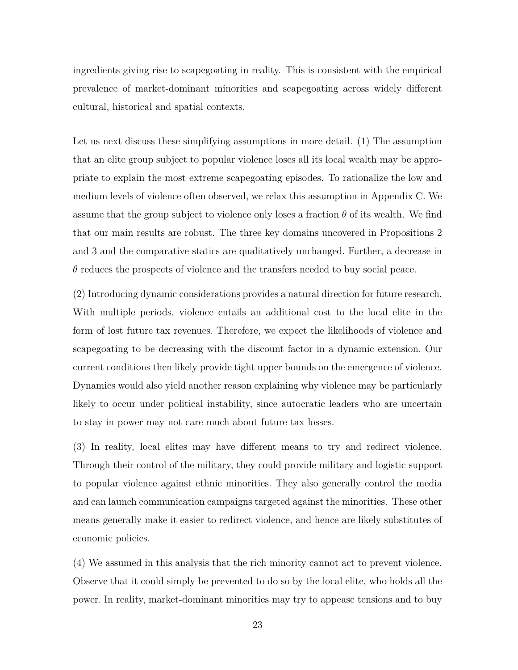ingredients giving rise to scapegoating in reality. This is consistent with the empirical prevalence of market-dominant minorities and scapegoating across widely different cultural, historical and spatial contexts.

Let us next discuss these simplifying assumptions in more detail. (1) The assumption that an elite group subject to popular violence loses all its local wealth may be appropriate to explain the most extreme scapegoating episodes. To rationalize the low and medium levels of violence often observed, we relax this assumption in Appendix C. We assume that the group subject to violence only loses a fraction  $\theta$  of its wealth. We find that our main results are robust. The three key domains uncovered in Propositions 2 and 3 and the comparative statics are qualitatively unchanged. Further, a decrease in *θ* reduces the prospects of violence and the transfers needed to buy social peace.

(2) Introducing dynamic considerations provides a natural direction for future research. With multiple periods, violence entails an additional cost to the local elite in the form of lost future tax revenues. Therefore, we expect the likelihoods of violence and scapegoating to be decreasing with the discount factor in a dynamic extension. Our current conditions then likely provide tight upper bounds on the emergence of violence. Dynamics would also yield another reason explaining why violence may be particularly likely to occur under political instability, since autocratic leaders who are uncertain to stay in power may not care much about future tax losses.

(3) In reality, local elites may have different means to try and redirect violence. Through their control of the military, they could provide military and logistic support to popular violence against ethnic minorities. They also generally control the media and can launch communication campaigns targeted against the minorities. These other means generally make it easier to redirect violence, and hence are likely substitutes of economic policies.

(4) We assumed in this analysis that the rich minority cannot act to prevent violence. Observe that it could simply be prevented to do so by the local elite, who holds all the power. In reality, market-dominant minorities may try to appease tensions and to buy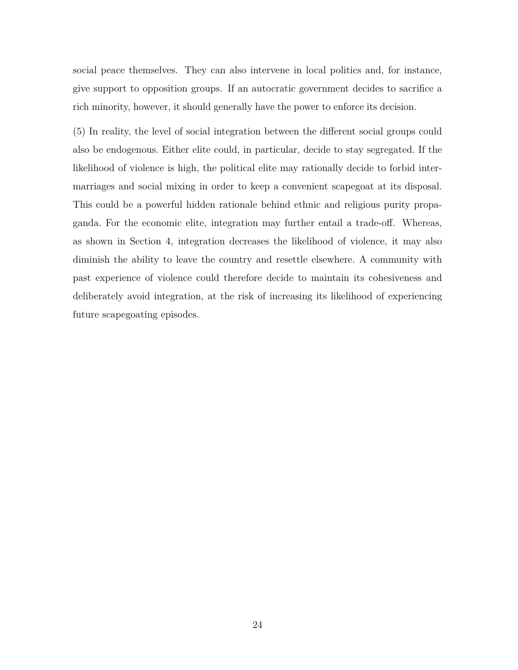social peace themselves. They can also intervene in local politics and, for instance, give support to opposition groups. If an autocratic government decides to sacrifice a rich minority, however, it should generally have the power to enforce its decision.

(5) In reality, the level of social integration between the different social groups could also be endogenous. Either elite could, in particular, decide to stay segregated. If the likelihood of violence is high, the political elite may rationally decide to forbid intermarriages and social mixing in order to keep a convenient scapegoat at its disposal. This could be a powerful hidden rationale behind ethnic and religious purity propaganda. For the economic elite, integration may further entail a trade-off. Whereas, as shown in Section 4, integration decreases the likelihood of violence, it may also diminish the ability to leave the country and resettle elsewhere. A community with past experience of violence could therefore decide to maintain its cohesiveness and deliberately avoid integration, at the risk of increasing its likelihood of experiencing future scapegoating episodes.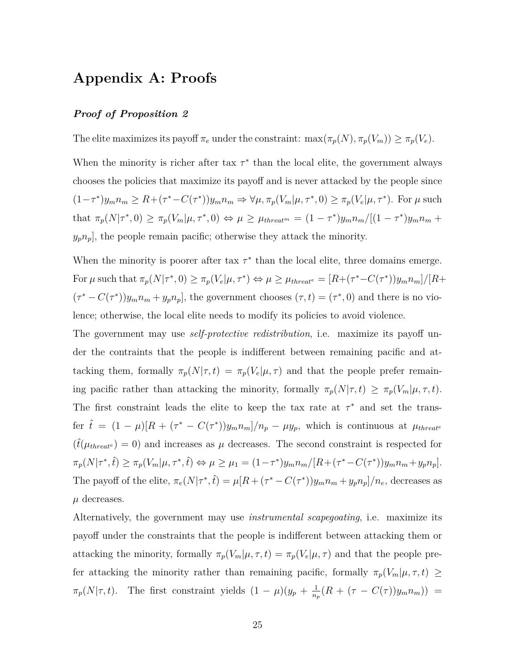# **Appendix A: Proofs**

#### *Proof of Proposition 2*

The elite maximizes its payoff  $\pi_e$  under the constraint:  $\max(\pi_p(N), \pi_p(V_m)) \geq \pi_p(V_e)$ .

When the minority is richer after tax  $\tau^*$  than the local elite, the government always chooses the policies that maximize its payoff and is never attacked by the people since  $(1-\tau^*)y_m n_m \ge R+(\tau^*-C(\tau^*))y_m n_m \Rightarrow \forall \mu, \pi_p(V_m|\mu, \tau^*, 0) \ge \pi_p(V_e|\mu, \tau^*)$ . For  $\mu$  such that  $\pi_p(N|\tau^*,0) \geq \pi_p(V_m|\mu,\tau^*,0) \Leftrightarrow \mu \geq \mu_{thread^m} = (1-\tau^*)y_m n_m/[(1-\tau^*)y_m n_m +$  $y_p n_p$ , the people remain pacific; otherwise they attack the minority.

When the minority is poorer after tax  $\tau^*$  than the local elite, three domains emerge. For  $\mu$  such that  $\pi_p(N|\tau^*,0) \geq \pi_p(V_e|\mu,\tau^*) \Leftrightarrow \mu \geq \mu_{thread^e} = [R+(\tau^*-C(\tau^*))y_mn_m]/[R+\mu]$  $(\tau^* - C(\tau^*))y_m n_m + y_p n_p$ , the government chooses  $(\tau, t) = (\tau^*, 0)$  and there is no violence; otherwise, the local elite needs to modify its policies to avoid violence.

The government may use *self-protective redistribution*, i.e. maximize its payoff under the contraints that the people is indifferent between remaining pacific and attacking them, formally  $\pi_p(N|\tau,t) = \pi_p(V_e|\mu,\tau)$  and that the people prefer remaining pacific rather than attacking the minority, formally  $\pi_p(N|\tau,t) \geq \pi_p(V_m|\mu,\tau,t)$ . The first constraint leads the elite to keep the tax rate at  $\tau^*$  and set the transfer  $\hat{t} = (1 - \mu)[R + (\tau^* - C(\tau^*))y_m n_m]/n_p - \mu y_p$ , which is continuous at  $\mu_{threat}$  $(\hat{t}(\mu_{threat} = 0))$  and increases as  $\mu$  decreases. The second constraint is respected for  $\pi_p(N|\tau^*,\hat{t}) \ge \pi_p(V_m|\mu,\tau^*,\hat{t}) \Leftrightarrow \mu \ge \mu_1 = (1-\tau^*)y_m n_m/[R+(\tau^*-C(\tau^*))y_m n_m+y_p n_p].$ The payoff of the elite,  $\pi_e(N|\tau^*,\hat{t}) = \mu[R + (\tau^* - C(\tau^*))y_m n_m + y_p n_p]/n_e$ , decreases as  $\mu$  decreases.

Alternatively, the government may use *instrumental scapegoating*, i.e. maximize its payoff under the constraints that the people is indifferent between attacking them or attacking the minority, formally  $\pi_p(V_m|\mu, \tau, t) = \pi_p(V_e|\mu, \tau)$  and that the people prefer attacking the minority rather than remaining pacific, formally  $\pi_p(V_m|\mu, \tau, t) \geq$  $\pi_p(N|\tau,t)$ . The first constraint yields  $(1-\mu)(y_p+\frac{1}{n})$  $\frac{1}{n_p}(R + (\tau - C(\tau))y_m n_m)$ ) =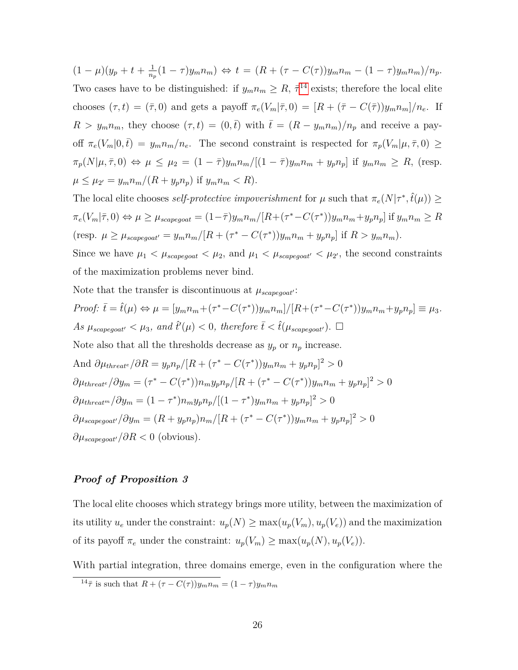$(1 - \mu)(y_p + t + \frac{1}{n})$  $\frac{1}{n_p}(1-\tau)y_m n_m$ )  $\Leftrightarrow t = (R + (\tau - C(\tau))y_m n_m - (1-\tau)y_m n_m)/n_p$ . Two cases have to be distinguished: if  $y_m n_m \geq R$ ,  $\bar{\tau}^{14}$  $\bar{\tau}^{14}$  $\bar{\tau}^{14}$  exists; therefore the local elite chooses  $(\tau, t) = (\bar{\tau}, 0)$  and gets a payoff  $\pi_e(V_m|\bar{\tau}, 0) = [R + (\bar{\tau} - C(\bar{\tau}))y_m n_m]/n_e$ . If  $R > y_m n_m$ , they choose  $(\tau, t) = (0, \bar{t})$  with  $\bar{t} = (R - y_m n_m)/n_p$  and receive a payoff  $\pi_e(V_m|0,\bar{t}) = y_m n_m/n_e$ . The second constraint is respected for  $\pi_p(V_m|\mu,\bar{\tau},0) \ge$  $\pi_p(N|\mu,\overline{\tau},0) \Leftrightarrow \mu \leq \mu_2 = (1-\overline{\tau})y_m n_m/[(1-\overline{\tau})y_m n_m + y_p n_p]$  if  $y_m n_m \geq R$ , (resp.  $\mu \leq \mu_{2'} = y_m n_m / (R + y_p n_p)$  if  $y_m n_m < R$ ).

The local elite chooses *self-protective impoverishment* for  $\mu$  such that  $\pi_e(N|\tau^*, \hat{t}(\mu)) \ge$  $\pi_e(V_m|\overline{\tau},0) \Leftrightarrow \mu \geq \mu_{scapegoat} = (1-\overline{\tau})y_m n_m/[R+(\tau^*-C(\tau^*))y_m n_m+y_p n_p]$  if  $y_m n_m \geq R$ (resp.  $\mu \ge \mu_{scapegout'} = y_m n_m / [R + (\tau^* - C(\tau^*))y_m n_m + y_p n_p]$  if  $R > y_m n_m$ ).

Since we have  $\mu_1 < \mu_{scapegoat} < \mu_2$ , and  $\mu_1 < \mu_{scapegoat'} < \mu_{2'}$ , the second constraints of the maximization problems never bind.

Note that the transfer is discontinuous at 
$$
\mu_{scapegoat}
$$
:  
\n*Proof:*  $\bar{t} = \hat{t}(\mu) \Leftrightarrow \mu = [y_m n_m + (\tau^* - C(\tau^*))y_m n_m]/[R + (\tau^* - C(\tau^*))y_m n_m + y_p n_p] \equiv \mu_3$ .  
\nAs  $\mu_{scapegoat'} < \mu_3$ , and  $\hat{t}'(\mu) < 0$ , therefore  $\bar{t} < \hat{t}(\mu_{scapegoat'})$ .  $\Box$   
\nNote also that all the thresholds decrease as  $y_p$  or  $n_p$  increase.  
\nAnd  $\partial \mu_{threat} / \partial R = y_p n_p / [R + (\tau^* - C(\tau^*))y_m n_m + y_p n_p]^2 > 0$   
\n $\partial \mu_{threat} / \partial y_m = (\tau^* - C(\tau^*))n_m y_p n_p / [R + (\tau^* - C(\tau^*))y_m n_m + y_p n_p]^2 > 0$   
\n $\partial \mu_{threat} / \partial y_m = (1 - \tau^*)n_m y_p n_p / [(1 - \tau^*)y_m n_m + y_p n_p]^2 > 0$   
\n $\partial \mu_{scapegoat'}/ \partial y_m = (R + y_p n_p)n_m / [R + (\tau^* - C(\tau^*))y_m n_m + y_p n_p]^2 > 0$   
\n $\partial \mu_{scapegoat'}/ \partial R < 0$  (obvious).

#### *Proof of Proposition 3*

The local elite chooses which strategy brings more utility, between the maximization of its utility  $u_e$  under the constraint:  $u_p(N) \ge \max(u_p(V_m), u_p(V_e))$  and the maximization of its payoff  $\pi_e$  under the constraint:  $u_p(V_m) \ge \max(u_p(N), u_p(V_e)).$ 

With partial integration, three domains emerge, even in the configuration where the

 $\frac{14\bar{\tau}}{\bar{\tau}}$  is such that  $R + (\tau - C(\tau))y_m n_m = (1 - \tau)y_m n_m$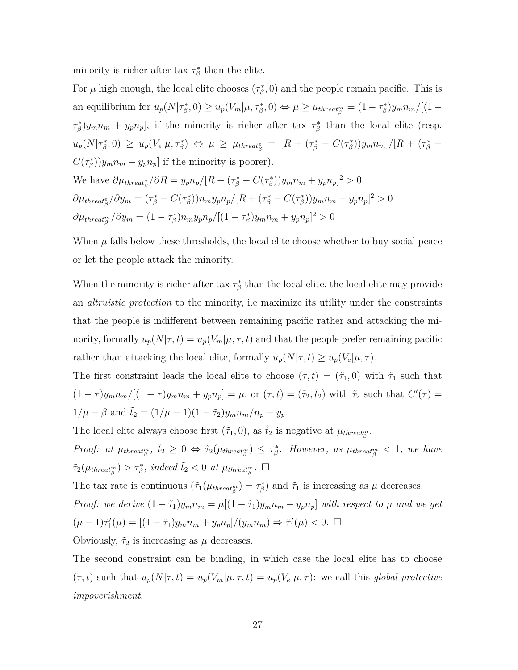minority is richer after tax  $\tau^*_{\beta}$  than the elite.

For  $\mu$  high enough, the local elite chooses  $(\tau_{\beta}^*, 0)$  and the people remain pacific. This is an equilibrium for  $u_p(N|\tau^*_{\beta},0) \ge u_p(V_m|\mu,\tau^*_{\beta},0) \Leftrightarrow \mu \ge \mu_{thread_{\beta}^m} = (1-\tau^*_{\beta})y_m n_m/[(1-\mu)^2]$  $\{\tau_{\beta}^*\}y_m n_m + y_p n_p\}$ , if the minority is richer after tax  $\tau_{\beta}^*$  than the local elite (resp.  $u_p(N|\tau^*_{\beta},0) \geq u_p(V_e|\mu,\tau^*_{\beta}) \Leftrightarrow \mu \geq \mu_{thread^e_{\beta}} = [R + (\tau^*_{\beta} - C(\tau^*_{\beta}))y_mn_m]/[R + (\tau^*_{\beta} - C(\tau^*_{\beta}))y_mn_m]$  $C(\tau_{\beta}^{*})$ ) $y_{m}n_{m} + y_{p}n_{p}$ ] if the minority is poorer). We have  $\partial \mu_{thread_{\beta}^e}/\partial R = y_p n_p/[R + (\tau_{\beta}^* - C(\tau_{\beta}^*))y_m n_m + y_p n_p]^2 > 0$  $\partial \mu_{thread_{\beta}^e}/\partial y_m = (\tau_{\beta}^* - C(\tau_{\beta}^*))n_m y_p n_p/[R + (\tau_{\beta}^* - C(\tau_{\beta}^*))y_m n_m + y_p n_p]^2 > 0$  $\partial \mu_{thread_B^m}/\partial y_m = (1-\tau_\beta^*)n_m y_p n_p/[(1-\tau_\beta^*)y_m n_m + y_p n_p]^2 > 0$ 

When  $\mu$  falls below these thresholds, the local elite choose whether to buy social peace or let the people attack the minority.

When the minority is richer after tax  $\tau^*_{\beta}$  than the local elite, the local elite may provide an *altruistic protection* to the minority, i.e maximize its utility under the constraints that the people is indifferent between remaining pacific rather and attacking the minority, formally  $u_p(N|\tau, t) = u_p(V_m|\mu, \tau, t)$  and that the people prefer remaining pacific rather than attacking the local elite, formally  $u_p(N|\tau,t) \ge u_p(V_e|\mu,\tau)$ .

The first constraint leads the local elite to choose  $(\tau, t) = (\tilde{\tau}_1, 0)$  with  $\tilde{\tau}_1$  such that  $(1-\tau)y_m n_m/[(1-\tau)y_m n_m + y_p n_p] = \mu$ , or  $(\tau, t) = (\tilde{\tau}_2, \tilde{t}_2)$  with  $\tilde{\tau}_2$  such that  $C'(\tau) =$  $1/\mu - \beta$  and  $\tilde{t}_2 = (1/\mu - 1)(1 - \tilde{\tau}_2)y_m n_m/n_p - y_p$ .

The local elite always choose first  $(\tilde{\tau}_1, 0)$ , as  $\tilde{t}_2$  is negative at  $\mu_{thread^m_{\beta}}$ .

Proof: at  $\mu_{thread_{\beta}^m}$ ,  $\tilde{t}_2 \geq 0 \Leftrightarrow \tilde{\tau}_2(\mu_{thread_{\beta}^m}) \leq \tau_{\beta}^*$ . However, as  $\mu_{thread_{\beta}^m} < 1$ , we have  $\tilde{\tau}_2(\mu_{thread_{\beta}^m}) > \tau_{\beta}^*$ , indeed  $\tilde{t}_2 < 0$  at  $\mu_{thread_{\beta}^m}$ .  $\Box$ 

The tax rate is continuous  $(\tilde{\tau}_1(\mu_{\text{thread}_{\beta}^m}) = \tau_{\beta}^*)$  and  $\tilde{\tau}_1$  is increasing as  $\mu$  decreases.

*Proof: we derive*  $(1 - \tilde{\tau}_1)y_m n_m = \mu[(1 - \tilde{\tau}_1)y_m n_m + y_p n_p]$  *with respect to*  $\mu$  *and we get*  $(\mu - 1)\tilde{\tau}'_1(\mu) = \frac{[(1 - \tilde{\tau}_1)y_m n_m + y_p n_p]}{(y_m n_m)} \Rightarrow \tilde{\tau}'_1(\mu) < 0.$ 

Obviously,  $\tilde{\tau}_2$  is increasing as  $\mu$  decreases.

The second constraint can be binding, in which case the local elite has to choose  $(\tau, t)$  such that  $u_p(N|\tau, t) = u_p(V_m|\mu, \tau, t) = u_p(V_e|\mu, \tau)$ : we call this *global protective impoverishment*.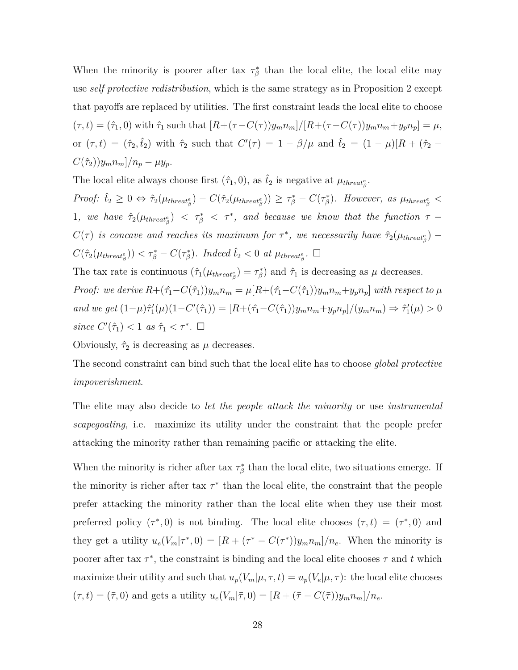When the minority is poorer after tax  $\tau^*_{\beta}$  than the local elite, the local elite may use *self protective redistribution*, which is the same strategy as in Proposition 2 except that payoffs are replaced by utilities. The first constraint leads the local elite to choose  $(\tau,t) = (\hat{\tau}_1,0)$  with  $\hat{\tau}_1$  such that  $[R+(\tau-C(\tau))y_m n_m]/[R+(\tau-C(\tau))y_m n_m+y_p n_p] = \mu$ , or  $(\tau, t) = (\hat{\tau}_2, \hat{t}_2)$  with  $\hat{\tau}_2$  such that  $C'(\tau) = 1 - \beta/\mu$  and  $\hat{t}_2 = (1 - \mu)[R + (\hat{\tau}_2 C(\hat{\tau}_2)$ )*y*<sub>*m*</sub>*n*<sub>*m*</sub>]/*n*<sub>*p*</sub> –  $\mu y_p$ .

The local elite always choose first  $(\hat{\tau}_1, 0)$ , as  $\hat{t}_2$  is negative at  $\mu_{thread^e_{\beta}}$ .

Proof:  $\hat{t}_2 \geq 0 \Leftrightarrow \hat{\tau}_2(\mu_{thread_{\beta}^e}) - C(\hat{\tau}_2(\mu_{thread_{\beta}^e})) \geq \tau_{\beta}^* - C(\tau_{\beta}^*).$  However, as  $\mu_{thread_{\beta}^e}$ 1, we have  $\hat{\tau}_2(\mu_{thresh}^{\ell}) \leq \tau_{\beta}^* \leq \tau^*$ , and because we know that the function  $\tau$  $C(\tau)$  *is concave and reaches its maximum for*  $\tau^*$ , we necessarily have  $\hat{\tau}_2(\mu_{thread^e_{\beta}})$  –  $C(\hat{\tau}_2(\mu_{thread^e_{\beta}})) < \tau^*_{\beta} - C(\tau^*_{\beta})$ *. Indeed*  $\hat{t}_2 < 0$  *at*  $\mu_{thread^e_{\beta}}$ *.*  $\square$ 

The tax rate is continuous  $(\hat{\tau}_1(\mu_{thread^e_{\beta}}) = \tau^*_{\beta})$  and  $\hat{\tau}_1$  is decreasing as  $\mu$  decreases. *Proof:* we derive  $R + (\hat{\tau}_1 - C(\hat{\tau}_1))y_m n_m = \mu[R + (\hat{\tau}_1 - C(\hat{\tau}_1))y_m n_m + y_p n_p]$  with respect to  $\mu$ and we get  $(1-\mu)\hat{\tau}'_1(\mu)(1-C'(\hat{\tau}_1)) = [R+(\hat{\tau}_1-C(\hat{\tau}_1))y_m n_m + y_p n_p]/(y_m n_m) \Rightarrow \hat{\tau}'_1(\mu) > 0$ *since*  $C'(\hat{\tau}_1) < 1$  *as*  $\hat{\tau}_1 < \tau^*$ .  $\Box$ 

Obviously,  $\hat{\tau}_2$  is decreasing as  $\mu$  decreases.

The second constraint can bind such that the local elite has to choose *global protective impoverishment*.

The elite may also decide to *let the people attack the minority* or use *instrumental scapegoating*, i.e. maximize its utility under the constraint that the people prefer attacking the minority rather than remaining pacific or attacking the elite.

When the minority is richer after tax  $\tau^*_{\beta}$  than the local elite, two situations emerge. If the minority is richer after tax  $\tau^*$  than the local elite, the constraint that the people prefer attacking the minority rather than the local elite when they use their most preferred policy  $(\tau^*, 0)$  is not binding. The local elite chooses  $(\tau, t) = (\tau^*, 0)$  and they get a utility  $u_e(V_m|\tau^*,0) = [R + (\tau^* - C(\tau^*))y_m n_m]/n_e$ . When the minority is poorer after tax  $\tau^*$ , the constraint is binding and the local elite chooses  $\tau$  and  $t$  which maximize their utility and such that  $u_p(V_m|\mu, \tau, t) = u_p(V_e|\mu, \tau)$ : the local elite chooses  $(\tau, t) = (\bar{\tau}, 0)$  and gets a utility  $u_e(V_m | \bar{\tau}, 0) = [R + (\bar{\tau} - C(\bar{\tau}))y_m n_m]/n_e$ .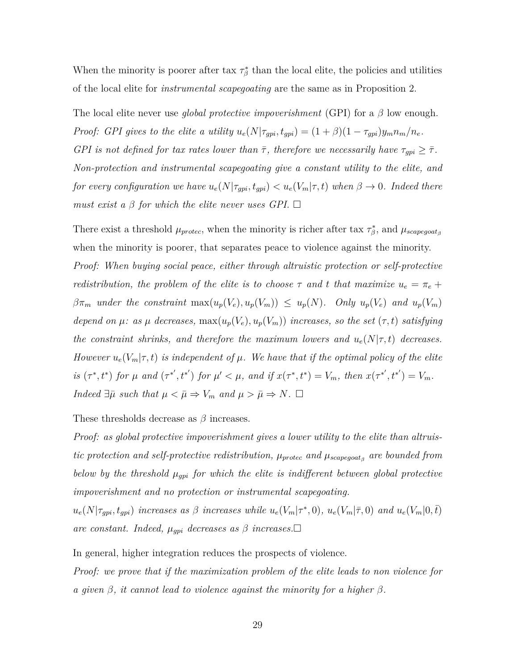When the minority is poorer after tax  $\tau^*_{\beta}$  than the local elite, the policies and utilities of the local elite for *instrumental scapegoating* are the same as in Proposition 2.

The local elite never use *global protective impoverishment* (GPI) for a *β* low enough. *Proof: GPI gives to the elite a utility*  $u_e(N|\tau_{gpi}, t_{gpi}) = (1+\beta)(1-\tau_{gpi})y_m n_m/n_e$ .

*GPI* is not defined for tax rates lower than  $\bar{\tau}$ , therefore we necessarily have  $\tau_{gpi} \geq \bar{\tau}$ . *Non-protection and instrumental scapegoating give a constant utility to the elite, and for every configuration we have*  $u_e(N|\tau_{gpi}, t_{gpi}) < u_e(V_m|\tau, t)$  when  $\beta \to 0$ . Indeed there *must exist a*  $\beta$  *for which the elite never uses GPI.*  $\Box$ 

There exist a threshold  $\mu_{protec}$ , when the minority is richer after tax  $\tau_{\beta}^*$ , and  $\mu_{scapegoat_{\beta}}$ when the minority is poorer, that separates peace to violence against the minority. *Proof: When buying social peace, either through altruistic protection or self-protective redistribution, the problem of the elite is to choose*  $\tau$  *and*  $t$  *that maximize*  $u_e = \pi_e +$  $\beta\pi_m$  under the constraint  $\max(u_p(V_e), u_p(V_m)) \leq u_p(N)$ . Only  $u_p(V_e)$  and  $u_p(V_m)$ *depend on*  $\mu$ : *as*  $\mu$  *decreases,* max $(u_p(V_e), u_p(V_m))$  *increases, so the set*  $(\tau, t)$  *satisfying the constraint shrinks, and therefore the maximum lowers and*  $u_e(N|\tau, t)$  decreases. *However*  $u_e(V_m|\tau, t)$  *is independent of*  $\mu$ *. We have that if the optimal policy of the elite* is  $(\tau^*, t^*)$  for  $\mu$  and  $(\tau^{*'}, t^{*'})$  for  $\mu' < \mu$ , and if  $x(\tau^*, t^*) = V_m$ , then  $x(\tau^{*'}, t^{*'}) = V_m$ . *Indeed*  $\exists \bar{\mu}$  *such that*  $\mu < \bar{\mu} \Rightarrow V_m$  *and*  $\mu > \bar{\mu} \Rightarrow N$ .  $\Box$ 

These thresholds decrease as *β* increases.

*Proof: as global protective impoverishment gives a lower utility to the elite than altruistic protection and self-protective redistribution,*  $\mu_{\text{protec}}$  *and*  $\mu_{\text{scapegoat}_{\beta}}$  *are bounded from below by the threshold µgpi for which the elite is indifferent between global protective impoverishment and no protection or instrumental scapegoating.*

 $u_e(N|\tau_{gpi}, t_{gpi})$  increases as  $\beta$  increases while  $u_e(V_m|\tau^*, 0)$ ,  $u_e(V_m|\overline{\tau}, 0)$  and  $u_e(V_m|0, \overline{t})$ *are constant. Indeed,*  $\mu_{gpi}$  *decreases as*  $\beta$  *increases.* $\Box$ 

In general, higher integration reduces the prospects of violence.

*Proof: we prove that if the maximization problem of the elite leads to non violence for a given β, it cannot lead to violence against the minority for a higher β.*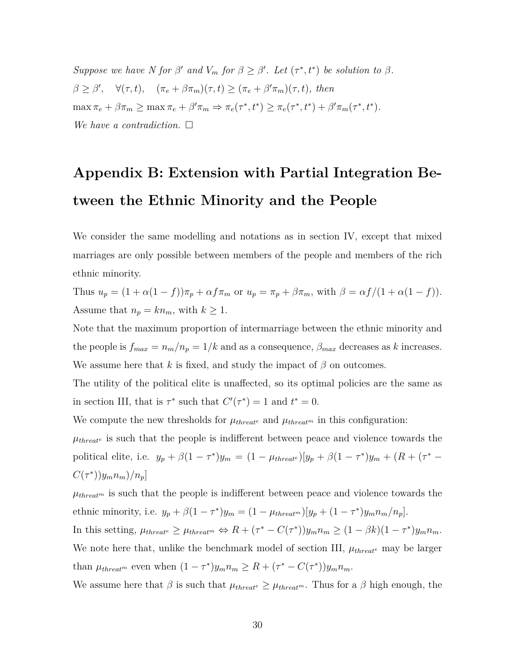*Suppose we have N for*  $\beta'$  *and*  $V_m$  *for*  $\beta \geq \beta'$ *. Let*  $(\tau^*, t^*)$  *be solution to*  $\beta$ *.*  $\beta \geq \beta', \quad \forall (\tau, t), \quad (\pi_e + \beta \pi_m)(\tau, t) \geq (\pi_e + \beta' \pi_m)(\tau, t), \text{ then}$  $\max \pi_e + \beta \pi_m \ge \max \pi_e + \beta' \pi_m \Rightarrow \pi_e(\tau^*, t^*) \ge \pi_e(\tau^*, t^*) + \beta' \pi_m(\tau^*, t^*).$ *We have a contradiction.*

# **Appendix B: Extension with Partial Integration Between the Ethnic Minority and the People**

We consider the same modelling and notations as in section IV, except that mixed marriages are only possible between members of the people and members of the rich ethnic minority.

Thus  $u_p = (1 + \alpha(1 - f))\pi_p + \alpha f \pi_m$  or  $u_p = \pi_p + \beta \pi_m$ , with  $\beta = \alpha f/(1 + \alpha(1 - f)).$ Assume that  $n_p = kn_m$ , with  $k \geq 1$ .

Note that the maximum proportion of intermarriage between the ethnic minority and the people is  $f_{max} = n_m/n_p = 1/k$  and as a consequence,  $\beta_{max}$  decreases as *k* increases. We assume here that *k* is fixed, and study the impact of  $\beta$  on outcomes.

The utility of the political elite is unaffected, so its optimal policies are the same as in section III, that is  $\tau^*$  such that  $C'(\tau^*) = 1$  and  $t^* = 0$ .

We compute the new thresholds for  $\mu_{thread}$ <sup>*e*</sup> and  $\mu_{thread}$ <sup>*m*</sup> in this configuration:

 $\mu_{threat}$ <sup>*e*</sup> is such that the people is indifferent between peace and violence towards the political elite, i.e.  $y_p + \beta(1 - \tau^*)y_m = (1 - \mu_{threade})[y_p + \beta(1 - \tau^*)y_m + (R + (\tau^*)y_m)]$  $C(\tau^*)$ ) $y_m n_m$ )/ $n_p$ ]

 $\mu_{threadm}$  is such that the people is indifferent between peace and violence towards the ethnic minority, i.e.  $y_p + \beta(1 - \tau^*)y_m = (1 - \mu_{thread^m})[y_p + (1 - \tau^*)y_m n_m/n_p].$ In this setting,  $\mu_{thread} \geq \mu_{thread} \Leftrightarrow R + (\tau^* - C(\tau^*))y_m n_m \geq (1 - \beta k)(1 - \tau^*)y_m n_m$ . We note here that, unlike the benchmark model of section III,  $\mu_{threade}$  may be larger than  $\mu_{\text{thread}^m}$  even when  $(1 - \tau^*)y_m n_m \geq R + (\tau^* - C(\tau^*))y_m n_m$ .

We assume here that  $\beta$  is such that  $\mu_{thread^e} \geq \mu_{thread^m}$ . Thus for a  $\beta$  high enough, the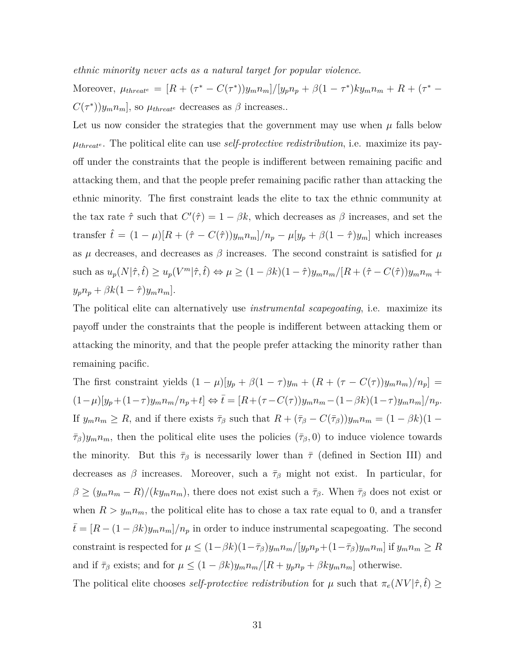*ethnic minority never acts as a natural target for popular violence*.

Moreover,  $\mu_{thread^e} = [R + (\tau^* - C(\tau^*))y_m n_m]/[y_p n_p + \beta(1 - \tau^*)ky_m n_m + R + (\tau^* C(\tau^*)$ ) $y_m n_m$ , so  $\mu_{thread}$ <sup>*e*</sup> decreases as  $\beta$  increases...

Let us now consider the strategies that the government may use when  $\mu$  falls below *µthreat<sup>e</sup>* . The political elite can use *self-protective redistribution*, i.e. maximize its payoff under the constraints that the people is indifferent between remaining pacific and attacking them, and that the people prefer remaining pacific rather than attacking the ethnic minority. The first constraint leads the elite to tax the ethnic community at the tax rate  $\hat{\tau}$  such that  $C'(\hat{\tau}) = 1 - \beta k$ , which decreases as  $\beta$  increases, and set the transfer  $\hat{t} = (1 - \mu)[R + (\hat{\tau} - C(\hat{\tau}))y_m n_m]/n_p - \mu[y_p + \beta(1 - \hat{\tau})y_m]$  which increases as  $\mu$  decreases, and decreases as  $\beta$  increases. The second constraint is satisfied for  $\mu$ such as  $u_p(N|\hat{\tau},\hat{t}) \ge u_p(V^m|\hat{\tau},\hat{t}) \Leftrightarrow \mu \ge (1-\beta k)(1-\hat{\tau})y_m n_m/[R+(\hat{\tau}-C(\hat{\tau}))y_m n_m +$  $y_p n_p + \beta k(1 - \hat{\tau}) y_m n_m$ ].

The political elite can alternatively use *instrumental scapegoating*, i.e. maximize its payoff under the constraints that the people is indifferent between attacking them or attacking the minority, and that the people prefer attacking the minority rather than remaining pacific.

The first constraint yields  $(1 - \mu)[y_p + \beta(1 - \tau)y_m + (R + (\tau - C(\tau))y_m n_m)/n_n]$  =  $(1-\mu)[y_p + (1-\tau)y_m n_m/n_p + t] \Leftrightarrow \bar{t} = [R + (\tau - C(\tau))y_m n_m - (1-\beta k)(1-\tau)y_m n_m]/n_p.$ If  $y_m n_m \ge R$ , and if there exists  $\bar{\tau}_{\beta}$  such that  $R + (\bar{\tau}_{\beta} - C(\bar{\tau}_{\beta}))y_m n_m = (1 - \beta k)(1 \tau_{\beta}$ )*y<sub>m</sub>n<sub>m</sub>*, then the political elite uses the policies ( $\tau_{\beta}$ , 0) to induce violence towards the minority. But this  $\bar{\tau}_{\beta}$  is necessarily lower than  $\bar{\tau}$  (defined in Section III) and decreases as  $\beta$  increases. Moreover, such a  $\bar{\tau}_{\beta}$  might not exist. In particular, for  $\beta \ge (y_m n_m - R)/(ky_m n_m)$ , there does not exist such a  $\bar{\tau}_{\beta}$ . When  $\bar{\tau}_{\beta}$  does not exist or when  $R > y_m n_m$ , the political elite has to chose a tax rate equal to 0, and a transfer  $t = [R - (1 - \beta k)y_m n_m]/n_p$  in order to induce instrumental scapegoating. The second constraint is respected for  $\mu \leq (1-\beta k)(1-\bar{\tau}_{\beta})y_m n_m/[y_p n_p + (1-\bar{\tau}_{\beta})y_m n_m]$  if  $y_m n_m \geq R$ and if  $\bar{\tau}_{\beta}$  exists; and for  $\mu \leq (1 - \beta k)y_m n_m/[R + y_p n_p + \beta k y_m n_m]$  otherwise.

The political elite chooses *self-protective redistribution* for  $\mu$  such that  $\pi_e(NV|\hat{\tau}, \hat{t}) \geq$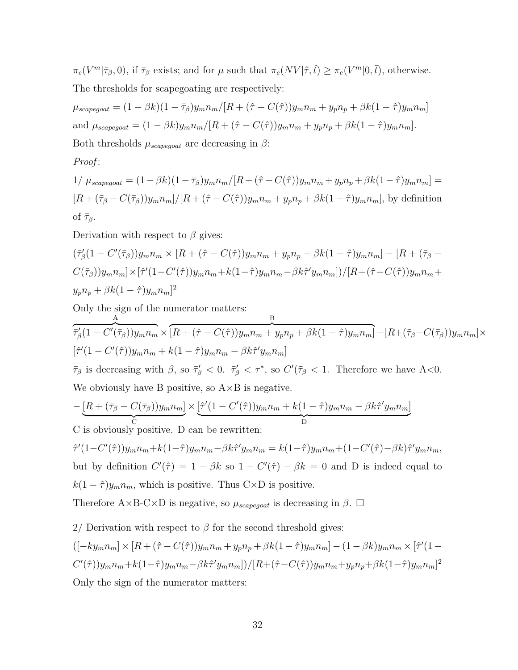$\pi_e(V^m|\overline{\tau}_{\beta},0)$ , if  $\overline{\tau}_{\beta}$  exists; and for  $\mu$  such that  $\pi_e(NV|\hat{\tau},\hat{t}) \geq \pi_e(V^m|0,\bar{t})$ , otherwise. The thresholds for scapegoating are respectively:

$$
\mu_{scapegoot} = (1 - \beta k)(1 - \bar{\tau}_{\beta})y_m n_m / [R + (\hat{\tau} - C(\hat{\tau}))y_m n_m + y_p n_p + \beta k (1 - \hat{\tau})y_m n_m]
$$
  
and 
$$
\mu_{scapegoot} = (1 - \beta k)y_m n_m / [R + (\hat{\tau} - C(\hat{\tau}))y_m n_m + y_p n_p + \beta k (1 - \hat{\tau})y_m n_m].
$$
  
Both thresholds 
$$
\mu_{scapegoot}
$$
 are decreasing in  $\beta$ :

#### *Proof* :

$$
1/\mu_{scapegoat} = (1 - \beta k)(1 - \bar{\tau}_{\beta})y_m n_m / [R + (\hat{\tau} - C(\hat{\tau}))y_m n_m + y_p n_p + \beta k (1 - \hat{\tau})y_m n_m] =
$$
  

$$
[R + (\bar{\tau}_{\beta} - C(\bar{\tau}_{\beta}))y_m n_m] / [R + (\hat{\tau} - C(\hat{\tau}))y_m n_m + y_p n_p + \beta k (1 - \hat{\tau})y_m n_m],
$$
 by definition  
of  $\bar{\tau}_{\beta}$ .

Derivation with respect to *β* gives:

$$
(\bar{\tau}_{\beta}'(1 - C'(\bar{\tau}_{\beta}))y_{m}n_{m} \times [R + (\hat{\tau} - C(\hat{\tau}))y_{m}n_{m} + y_{p}n_{p} + \beta k(1 - \hat{\tau})y_{m}n_{m}] - [R + (\bar{\tau}_{\beta} - C(\bar{\tau}_{\beta}))y_{m}n_{m}] \times [\hat{\tau}'(1 - C'(\hat{\tau}))y_{m}n_{m} + k(1 - \hat{\tau})y_{m}n_{m} - \beta k \hat{\tau}'y_{m}n_{m}])/[R + (\hat{\tau} - C(\hat{\tau}))y_{m}n_{m} + y_{p}n_{p} + \beta k(1 - \hat{\tau})y_{m}n_{m}]^{2}
$$

Only the sign of the numerator matters:

$$
\frac{A}{\tau'_{\beta}(1-C'(\bar{\tau}_{\beta}))y_m n_m} \times \frac{B}{[R+(\hat{\tau}-C(\hat{\tau}))y_m n_m + y_p n_p + \beta k(1-\hat{\tau})y_m n_m]} - [R+(\bar{\tau}_{\beta}-C(\bar{\tau}_{\beta}))y_m n_m] \times
$$
  
\n
$$
[\hat{\tau}'(1-C'(\hat{\tau}))y_m n_m + k(1-\hat{\tau})y_m n_m - \beta k \hat{\tau}'y_m n_m]
$$
  
\n
$$
\bar{\tau}_{\beta}
$$
 is decreasing with  $\beta$ , so  $\bar{\tau}'_{\beta} < 0$ .  $\bar{\tau}'_{\beta} < \tau^*$ , so  $C'(\bar{\tau}_{\beta} < 1$ . Therefore we have A<0.

 $\overline{D}$ 

We obviously have B positive, so  $A \times B$  is negative.

$$
-\underbrace{[R+(\bar{\tau}_\beta-C(\bar{\tau}_\beta))y_m n_m]}_{\text{C}}\times\underbrace{[\hat{\tau}'(1-C'(\hat{\tau}))y_m n_m+k(1-\hat{\tau})y_m n_m-\beta k\hat{\tau}'y_m n_m]}_{\text{D}}
$$

C C is obviously positive. D can be rewritten:

 $\hat{\tau}'(1-C'(\hat{\tau}))y_m n_m + k(1-\hat{\tau})y_m n_m - \beta k \hat{\tau}'y_m n_m = k(1-\hat{\tau})y_m n_m + (1-C'(\hat{\tau})-\beta k)\hat{\tau}'y_m n_m,$ but by definition  $C'(\hat{\tau}) = 1 - \beta k$  so  $1 - C'(\hat{\tau}) - \beta k = 0$  and D is indeed equal to  $k(1 - \hat{\tau})y_m n_m$ , which is positive. Thus C×D is positive.

Therefore  $A \times B-C \times D$  is negative, so  $\mu_{scapegoat}$  is decreasing in  $\beta$ .  $\Box$ 

2/ Derivation with respect to  $\beta$  for the second threshold gives:

$$
([-ky_m n_m] \times [R + (\hat{\tau} - C(\hat{\tau}))y_m n_m + y_p n_p + \beta k(1 - \hat{\tau})y_m n_m] - (1 - \beta k)y_m n_m \times [\hat{\tau}'(1 - C'(\hat{\tau}))y_m n_m + k(1 - \hat{\tau})y_m n_m - \beta k \hat{\tau}'y_m n_m]) / [R + (\hat{\tau} - C(\hat{\tau}))y_m n_m + y_p n_p + \beta k(1 - \hat{\tau})y_m n_m]^2
$$
  
Only the sign of the numerator matter.

Only the sign of the numerator matters: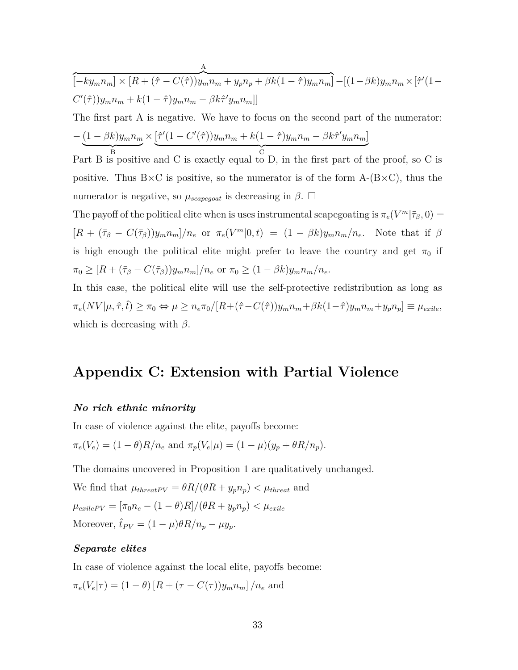$$
[-ky_m n_m] \times [R + (\hat{\tau} - C(\hat{\tau}))y_m n_m + y_p n_p + \beta k(1 - \hat{\tau})y_m n_m] - [(1 - \beta k)y_m n_m \times [\hat{\tau}'(1 - C'(\hat{\tau}))y_m n_m + k(1 - \hat{\tau})y_m n_m - \beta k \hat{\tau}'y_m n_m]]
$$
  
The first part A is negative. We have to focus on the second part of the numerator:  

$$
-\underbrace{(1 - \beta k)y_m n_m}_{B} \times \underbrace{[\hat{\tau}'(1 - C'(\hat{\tau}))y_m n_m + k(1 - \hat{\tau})y_m n_m - \beta k \hat{\tau}'y_m n_m]}_{C}
$$
  
Part B is positive and C is exactly equal to D, in the first part of the proof, so C is positive. Thus B×C is positive, so the numerator is of the form A-(B×C), thus the numerator is negative, so  $\mu_{scapegoat}$  is decreasing in  $\beta$ .  $\Box$   
The payoff of the political elite when is uses instrumental scapegoating is  $\pi_e(V^m|\bar{\tau}_{\beta}, 0) = [R + (\bar{\tau}_{\beta} - C(\bar{\tau}_{\beta}))y_m n_m]/n_e$  or  $\pi_e(V^m|0, \bar{t}) = (1 - \beta k)y_m n_m/n_e$ . Note that if  $\beta$  is high enough the political elite might prefer to leave the country and get  $\pi_0$  if  $\pi_0 \geq [R + (\bar{\tau}_{\beta} - C(\bar{\tau}_{\beta}))y_m n_m]/n_e$  or  $\pi_0 \geq (1 - \beta k)y_m n_m/n_e$ .  
In this case, the political elite will use the self-protective redistribution as long as

 $\boldsymbol{\rm{A}}$ 

 $\pi_e(NV|\mu, \hat{\tau}, t) \geq \pi_0 \Leftrightarrow \mu \geq n_e \pi_0/[R + (\hat{\tau} - C(\hat{\tau}))y_m n_m + \beta k(1-\hat{\tau})y_m n_m + y_p n_p] \equiv \mu_{exile},$ which is decreasing with  $\beta$ .

# **Appendix C: Extension with Partial Violence**

#### *No rich ethnic minority*

In case of violence against the elite, payoffs become:

$$
\pi_e(V_e) = (1 - \theta)R/n_e
$$
 and  $\pi_p(V_e|\mu) = (1 - \mu)(y_p + \theta R/n_p)$ .

The domains uncovered in Proposition 1 are qualitatively unchanged.

We find that  $\mu_{\text{threadPV}} = \theta R/(\theta R + y_p n_p) < \mu_{\text{thread}}$  and  $\mu_{exilePV} = [\pi_0 n_e - (1 - \theta)R]/(\theta R + y_p n_p) < \mu_{exile}$ Moreover,  $\hat{t}_{PV} = (1 - \mu)\theta R/n_p - \mu y_p$ .

#### *Separate elites*

In case of violence against the local elite, payoffs become:  $\pi_e(V_e|\tau) = (1 - \theta) [R + (\tau - C(\tau))y_m n_m] / n_e$  and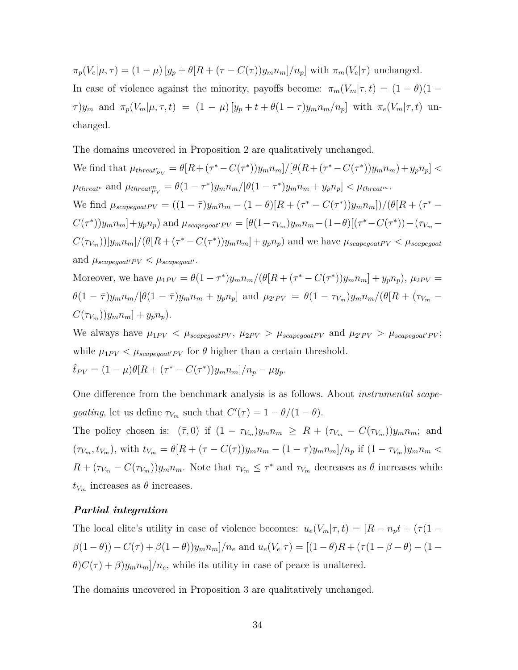$\pi_p(V_e|\mu,\tau) = (1-\mu)[y_p + \theta[R + (\tau - C(\tau))y_m n_m]/n_p]$  with  $\pi_m(V_e|\tau)$  unchanged. In case of violence against the minority, payoffs become:  $\pi_m(V_m|\tau, t) = (1 - \theta)(1 \tau$ )y<sub>m</sub> and  $\pi_p(V_m|\mu, \tau, t) = (1 - \mu)[y_p + t + \theta(1 - \tau)y_m n_m/n_p]$  with  $\pi_e(V_m|\tau, t)$  unchanged.

The domains uncovered in Proposition 2 are qualitatively unchanged.

We find that  $\mu_{thread_{PV}^e} = \theta[R + (\tau^* - C(\tau^*))y_m n_m]/[\theta(R + (\tau^* - C(\tau^*))y_m n_m) + y_p n_p]$  $\mu_{thread}$ <sup>e</sup> and  $\mu_{thread}^m_{PV} = \theta(1-\tau^*)y_m n_m/[\theta(1-\tau^*)y_m n_m + y_p n_p] < \mu_{thread}^m$ . We find  $\mu_{scapegoatPV} = ((1 - \bar{\tau})y_m n_m - (1 - \theta)[R + (\tau^* - C(\tau^*))y_m n_m])/(\theta[R + (\tau^* C(\tau^*))y_m n_m]+y_p n_p$  and  $\mu_{scapegoat'PV}=[\theta(1-\tau_{V_m})y_m n_m-(1-\theta)[(\tau^*-C(\tau^*))-(\tau_{V_m}-\tau_{V_m})]$  $C(\tau_{V_m})[y_m n_m]/(\theta[R + (\tau^* - C(\tau^*))y_m n_m] + y_p n_p)$  and we have  $\mu_{scapegoatPV} < \mu_{scapegoat}$ and  $\mu_{scapegoat'PV} < \mu_{scapegoat'}$ .

Moreover, we have  $\mu_{1PV} = \theta(1-\tau^*)y_m n_m/(\theta[R + (\tau^* - C(\tau^*))y_m n_m] + y_p n_p), \mu_{2PV} =$  $\theta(1-\bar{\tau})y_m n_m/[\theta(1-\bar{\tau})y_m n_m + y_p n_p]$  and  $\mu_{2'PV} = \theta(1-\tau_{V_m})y_m n_m/(\theta[R + (\tau_{V_m} C(\tau_{V_m})$ *)y*<sub>*m*</sub>*n*<sub>*m*</sub>] + *y<sub>p</sub>n<sub>p</sub>*).

We always have  $\mu_{1PV} < \mu_{scapegoatPV}$ ,  $\mu_{2PV} > \mu_{scapegoatPV}$  and  $\mu_{2'PV} > \mu_{scapegoat'PV}$ ; while  $\mu_{1PV} < \mu_{scapegoat'PV}$  for  $\theta$  higher than a certain threshold.

$$
\hat{t}_{PV} = (1 - \mu)\theta[R + (\tau^* - C(\tau^*))y_m n_m]/n_p - \mu y_p.
$$

One difference from the benchmark analysis is as follows. About *instrumental scapegoating*, let us define  $\tau_{V_m}$  such that  $C'(\tau) = 1 - \theta/(1 - \theta)$ .

The policy chosen is:  $(\bar{\tau}, 0)$  if  $(1 - \tau_{V_m})y_m n_m \geq R + (\tau_{V_m} - C(\tau_{V_m}))y_m n_m$ ; and  $(\tau_{V_m}, t_{V_m})$ , with  $t_{V_m} = \theta[R + (\tau - C(\tau))y_m n_m - (1 - \tau)y_m n_m]/n_p$  if  $(1 - \tau_{V_m})y_m n_m <$  $R + (\tau_{V_m} - C(\tau_{V_m}))y_m n_m$ . Note that  $\tau_{V_m} \leq \tau^*$  and  $\tau_{V_m}$  decreases as  $\theta$  increases while  $t_{V_m}$  increases as  $\theta$  increases.

#### *Partial integration*

The local elite's utility in case of violence becomes:  $u_e(V_m|\tau, t) = [R - n_p t + (\tau(1 \beta(1-\theta))-C(\tau)+\beta(1-\theta))y_mn_m]/n_e$  and  $u_e(V_e|\tau)=[(1-\theta)R+(\tau(1-\beta-\theta)-(1-\theta))$  $\theta$ ) $C(\tau) + \beta$ ) $y_m n_m$ ]/ $n_e$ , while its utility in case of peace is unaltered.

The domains uncovered in Proposition 3 are qualitatively unchanged.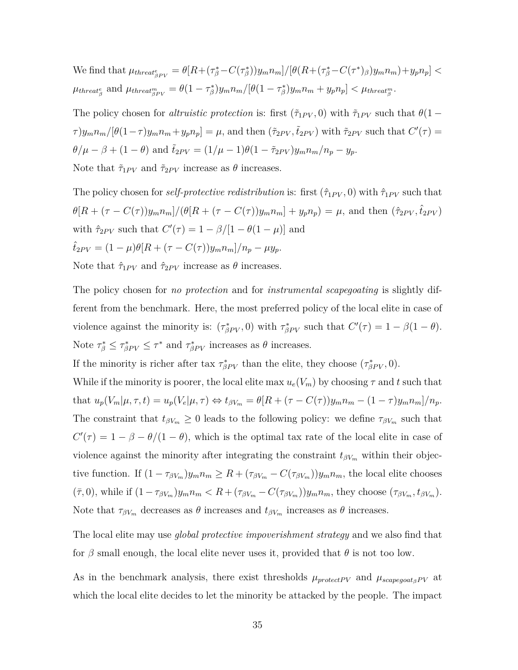We find that  $\mu_{thread_{\beta PV}^e} = \theta[R + (\tau_{\beta}^* - C(\tau_{\beta}^*))y_m n_m]/[\theta(R + (\tau_{\beta}^* - C(\tau^*))y_m n_m) + y_p n_p]$  $\mu_{thread_{\beta}^e}$  and  $\mu_{thread_{\beta PV}^m} = \theta(1 - \tau_{\beta}^*)y_m n_m/[\theta(1 - \tau_{\beta}^*)y_m n_m + y_p n_p] < \mu_{thread_{\beta}^m}$ .

The policy chosen for *altruistic protection* is: first  $(\tilde{\tau}_{1PV}, 0)$  with  $\tilde{\tau}_{1PV}$  such that  $\theta(1-\tau)$  $\tau[y_m n_m/[\theta(1-\tau)y_m n_m + y_p n_p] = \mu$ , and then  $(\tilde{\tau}_{2PV}, \tilde{t}_{2PV})$  with  $\tilde{\tau}_{2PV}$  such that  $C'(\tau) =$  $\theta/\mu - \beta + (1 - \theta)$  and  $\tilde{t}_{2PV} = (1/\mu - 1)\theta(1 - \tilde{\tau}_{2PV})y_m n_m/n_p - y_p$ . Note that  $\tilde{\tau}_{1PV}$  and  $\tilde{\tau}_{2PV}$  increase as  $\theta$  increases.

The policy chosen for *self-protective redistribution* is: first  $(\hat{\tau}_{1PV}, 0)$  with  $\hat{\tau}_{1PV}$  such that  $\theta[R + (\tau - C(\tau))y_m n_m]/(\theta[R + (\tau - C(\tau))y_m n_m] + y_p n_p) = \mu$ , and then  $(\hat{\tau}_{2PV}, \hat{t}_{2PV})$ with  $\hat{\tau}_{2PV}$  such that  $C'(\tau) = 1 - \beta/[1 - \theta(1 - \mu)]$  and  $\hat{t}_{2PV} = (1 - \mu)\theta[R + (\tau - C(\tau))y_m n_m]/n_n - \mu y_n$ . Note that  $\hat{\tau}_{1PV}$  and  $\hat{\tau}_{2PV}$  increase as  $\theta$  increases.

The policy chosen for *no protection* and for *instrumental scapegoating* is slightly different from the benchmark. Here, the most preferred policy of the local elite in case of violence against the minority is:  $(\tau_{\beta PV}^*, 0)$  with  $\tau_{\beta PV}^*$  such that  $C'(\tau) = 1 - \beta(1 - \theta)$ . Note  $\tau_{\beta}^* \leq \tau_{\beta PV}^* \leq \tau^*$  and  $\tau_{\beta PV}^*$  increases as  $\theta$  increases.

If the minority is richer after tax  $\tau_{\beta PV}^*$  than the elite, they choose  $(\tau_{\beta PV}^*, 0)$ .

While if the minority is poorer, the local elite max  $u_e(V_m)$  by choosing  $\tau$  and  $t$  such that that  $u_p(V_m|\mu, \tau, t) = u_p(V_e|\mu, \tau) \Leftrightarrow t_{\beta V_m} = \theta[R + (\tau - C(\tau))y_m n_m - (1 - \tau)y_m n_m]/n_p$ . The constraint that  $t_{\beta V_m} \geq 0$  leads to the following policy: we define  $\tau_{\beta V_m}$  such that  $C'(\tau) = 1 - \beta - \theta/(1 - \theta)$ , which is the optimal tax rate of the local elite in case of violence against the minority after integrating the constraint  $t_{\beta V_m}$  within their objective function. If  $(1 - \tau_{\beta V_m})y_m n_m \ge R + (\tau_{\beta V_m} - C(\tau_{\beta V_m}))y_m n_m$ , the local elite chooses  $(\bar{\tau},0)$ , while if  $(1-\tau_{\beta V_m})y_m n_m < R + (\tau_{\beta V_m} - C(\tau_{\beta V_m}))y_m n_m$ , they choose  $(\tau_{\beta V_m},t_{\beta V_m})$ . Note that  $\tau_{\beta V_m}$  decreases as  $\theta$  increases and  $t_{\beta V_m}$  increases as  $\theta$  increases.

The local elite may use *global protective impoverishment strategy* and we also find that for  $\beta$  small enough, the local elite never uses it, provided that  $\theta$  is not too low.

As in the benchmark analysis, there exist thresholds  $\mu_{protectPV}$  and  $\mu_{scapegoataPV}$  at which the local elite decides to let the minority be attacked by the people. The impact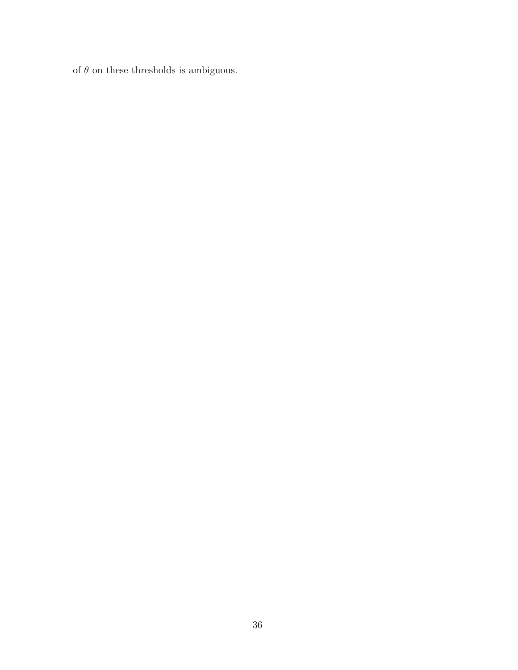of  $\theta$  on these thresholds is ambiguous.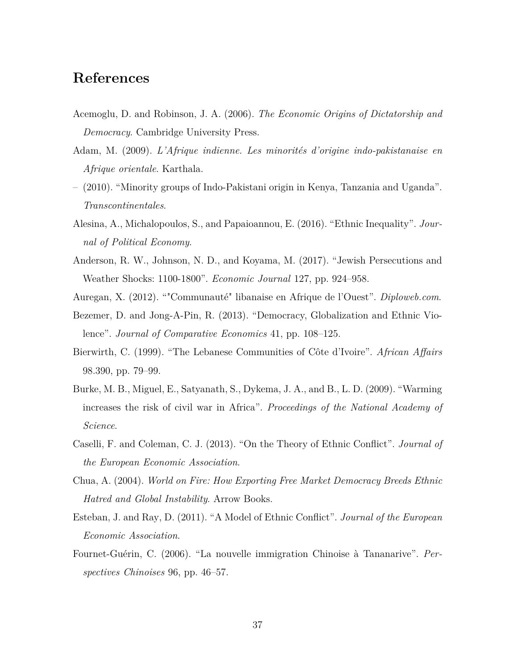# **References**

- <span id="page-38-4"></span>Acemoglu, D. and Robinson, J. A. (2006). *The Economic Origins of Dictatorship and Democracy*. Cambridge University Press.
- <span id="page-38-3"></span>Adam, M. (2009). *L'Afrique indienne. Les minorités d'origine indo-pakistanaise en Afrique orientale*. Karthala.
- <span id="page-38-10"></span>– (2010). "Minority groups of Indo-Pakistani origin in Kenya, Tanzania and Uganda". *Transcontinentales*.
- <span id="page-38-8"></span>Alesina, A., Michalopoulos, S., and Papaioannou, E. (2016). "Ethnic Inequality". *Journal of Political Economy*.
- <span id="page-38-5"></span>Anderson, R. W., Johnson, N. D., and Koyama, M. (2017). "Jewish Persecutions and Weather Shocks: 1100-1800". *Economic Journal* 127, pp. 924–958.
- <span id="page-38-2"></span>Auregan, X. (2012). ""Communauté" libanaise en Afrique de l'Ouest". *Diploweb.com*.
- <span id="page-38-1"></span>Bezemer, D. and Jong-A-Pin, R. (2013). "Democracy, Globalization and Ethnic Violence". *Journal of Comparative Economics* 41, pp. 108–125.
- <span id="page-38-11"></span>Bierwirth, C. (1999). "The Lebanese Communities of Côte d'Ivoire". *African Affairs* 98.390, pp. 79–99.
- <span id="page-38-9"></span>Burke, M. B., Miguel, E., Satyanath, S., Dykema, J. A., and B., L. D. (2009). "Warming increases the risk of civil war in Africa". *Proceedings of the National Academy of Science*.
- <span id="page-38-7"></span>Caselli, F. and Coleman, C. J. (2013). "On the Theory of Ethnic Conflict". *Journal of the European Economic Association*.
- <span id="page-38-0"></span>Chua, A. (2004). *World on Fire: How Exporting Free Market Democracy Breeds Ethnic Hatred and Global Instability*. Arrow Books.
- <span id="page-38-6"></span>Esteban, J. and Ray, D. (2011). "A Model of Ethnic Conflict". *Journal of the European Economic Association*.
- <span id="page-38-12"></span>Fournet-Guérin, C. (2006). "La nouvelle immigration Chinoise à Tananarive". *Perspectives Chinoises* 96, pp. 46–57.